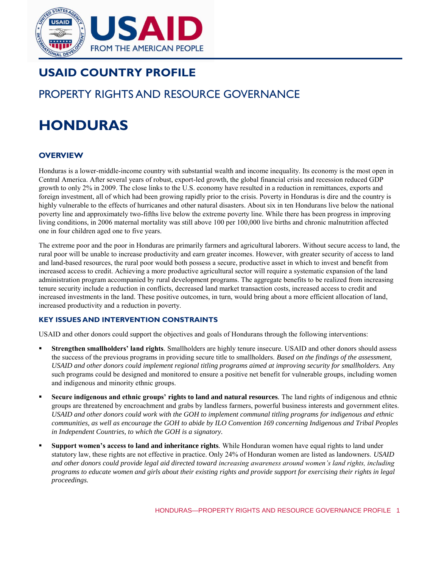

# **USAID COUNTRY PROFILE**

# PROPERTY RIGHTS AND RESOURCE GOVERNANCE

# **HONDURAS**

# **OVERVIEW**

Honduras is a lower-middle-income country with substantial wealth and income inequality. Its economy is the most open in Central America. After several years of robust, export-led growth, the global financial crisis and recession reduced GDP growth to only 2% in 2009. The close links to the U.S. economy have resulted in a reduction in remittances, exports and foreign investment, all of which had been growing rapidly prior to the crisis. Poverty in Honduras is dire and the country is highly vulnerable to the effects of hurricanes and other natural disasters. About six in ten Hondurans live below the national poverty line and approximately two-fifths live below the extreme poverty line. While there has been progress in improving living conditions, in 2006 maternal mortality was still above 100 per 100,000 live births and chronic malnutrition affected one in four children aged one to five years.

The extreme poor and the poor in Honduras are primarily farmers and agricultural laborers. Without secure access to land, the rural poor will be unable to increase productivity and earn greater incomes. However, with greater security of access to land and land-based resources, the rural poor would both possess a secure, productive asset in which to invest and benefit from increased access to credit. Achieving a more productive agricultural sector will require a systematic expansion of the land administration program accompanied by rural development programs. The aggregate benefits to be realized from increasing tenure security include a reduction in conflicts, decreased land market transaction costs, increased access to credit and increased investments in the land. These positive outcomes, in turn, would bring about a more efficient allocation of land, increased productivity and a reduction in poverty.

#### **KEY ISSUES AND INTERVENTION CONSTRAINTS**

USAID and other donors could support the objectives and goals of Hondurans through the following interventions:

- **Strengthen smallholders' land rights***.* Smallholders are highly tenure insecure. USAID and other donors should assess the success of the previous programs in providing secure title to smallholders. *Based on the findings of the assessment, USAID and other donors could implement regional titling programs aimed at improving security for smallholders.* Any such programs could be designed and monitored to ensure a positive net benefit for vulnerable groups, including women and indigenous and minority ethnic groups.
- **Secure indigenous and ethnic groups' rights to land and natural resources***.* The land rights of indigenous and ethnic groups are threatened by encroachment and grabs by landless farmers, powerful business interests and government elites. *USAID and other donors could work with the GOH to implement communal titling programs for indigenous and ethnic communities, as well as encourage the GOH to abide by ILO Convention 169 concerning Indigenous and Tribal Peoples in Independent Countries, to which the GOH is a signatory.*
- **Support women's access to land and inheritance rights***.* While Honduran women have equal rights to land under statutory law, these rights are not effective in practice. Only 24% of Honduran women are listed as landowners. *USAID and other donors could provide legal aid directed toward increasing awareness around women's land rights, including programs to educate women and girls about their existing rights and provide support for exercising their rights in legal proceedings.*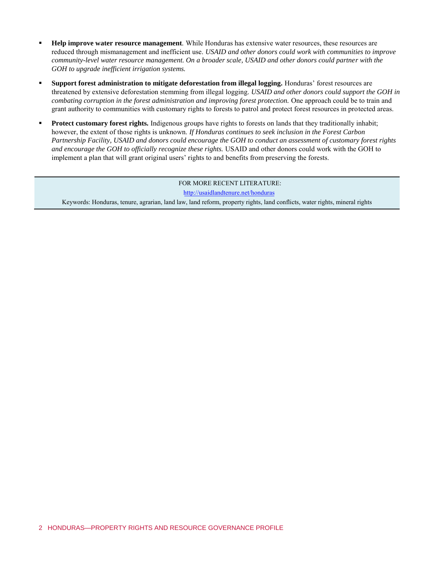- **Help improve water resource management***.* While Honduras has extensive water resources, these resources are reduced through mismanagement and inefficient use. *USAID and other donors could work with communities to improve community-level water resource management. On a broader scale, USAID and other donors could partner with the GOH to upgrade inefficient irrigation systems.*
- **Support forest administration to mitigate deforestation from illegal logging***.* Honduras' forest resources are threatened by extensive deforestation stemming from illegal logging. *USAID and other donors could support the GOH in combating corruption in the forest administration and improving forest protection.* One approach could be to train and grant authority to communities with customary rights to forests to patrol and protect forest resources in protected areas.
- **Protect customary forest rights***.* Indigenous groups have rights to forests on lands that they traditionally inhabit; however, the extent of those rights is unknown. *If Honduras continues to seek inclusion in the Forest Carbon Partnership Facility, USAID and donors could encourage the GOH to conduct an assessment of customary forest rights and encourage the GOH to officially recognize these rights.* USAID and other donors could work with the GOH to implement a plan that will grant original users' rights to and benefits from preserving the forests.

FOR MORE RECENT LITERATURE: <http://usaidlandtenure.net/honduras> Keywords: Honduras, tenure, agrarian, land law, land reform, property rights, land conflicts, water rights, mineral rights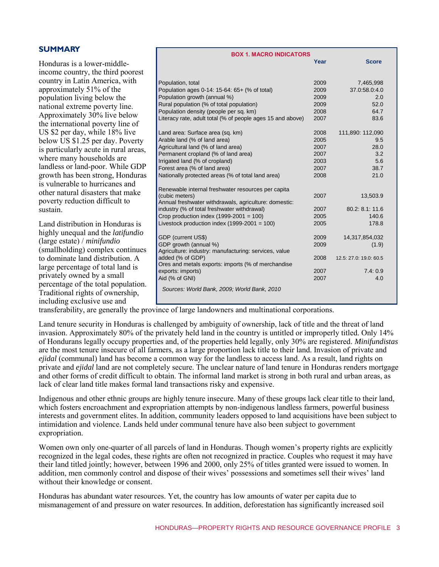| <b>SUMMARY</b>                           |                                                                      |      |                        |
|------------------------------------------|----------------------------------------------------------------------|------|------------------------|
|                                          | <b>BOX 1. MACRO INDICATORS</b>                                       |      |                        |
| Honduras is a lower-middle-              |                                                                      | Year | <b>Score</b>           |
| income country, the third poorest        |                                                                      |      |                        |
| country in Latin America, with           | Population, total                                                    | 2009 | 7,465,998              |
| approximately 51% of the                 | Population ages 0-14: 15-64: 65+ (% of total)                        | 2009 | 37.0:58.0:4.0          |
|                                          | Population growth (annual %)                                         | 2009 | 2.0                    |
| population living below the              | Rural population (% of total population)                             | 2009 | 52.0                   |
| national extreme poverty line.           | Population density (people per sq. km)                               | 2008 | 64.7                   |
| Approximately 30% live below             | Literacy rate, adult total (% of people ages 15 and above)           | 2007 | 83.6                   |
| the international poverty line of        |                                                                      |      |                        |
| US \$2 per day, while 18% live           | Land area: Surface area (sq. km)                                     | 2008 | 111,890: 112,090       |
| below US \$1.25 per day. Poverty         | Arable land (% of land area)                                         | 2005 | 9.5                    |
| is particularly acute in rural areas,    | Agricultural land (% of land area)                                   | 2007 | 28.0                   |
|                                          | Permanent cropland (% of land area)                                  | 2007 | 3.2                    |
| where many households are                | Irrigated land (% of cropland)                                       | 2003 | 5.6                    |
| landless or land-poor. While GDP         | Forest area (% of land area)                                         | 2007 | 38.7                   |
| growth has been strong, Honduras         | Nationally protected areas (% of total land area)                    | 2008 | 21.0                   |
| is vulnerable to hurricanes and          |                                                                      |      |                        |
| other natural disasters that make        | Renewable internal freshwater resources per capita<br>(cubic meters) | 2007 | 13,503.9               |
| poverty reduction difficult to           | Annual freshwater withdrawals, agriculture: domestic:                |      |                        |
| sustain.                                 | industry (% of total freshwater withdrawal)                          | 2007 | 80.2: 8.1: 11.6        |
|                                          | Crop production index $(1999-2001 = 100)$                            | 2005 | 140.6                  |
| Land distribution in Honduras is         | Livestock production index $(1999-2001 = 100)$                       | 2005 | 178.8                  |
| highly unequal and the <i>latifundio</i> |                                                                      |      |                        |
|                                          | GDP (current US\$)                                                   | 2009 | 14,317,854,032         |
| (large estate) / $minifundio$            | GDP growth (annual %)                                                | 2009 | (1.9)                  |
| (smallholding) complex continues         | Agriculture: industry: manufacturing: services, value                |      |                        |
| to dominate land distribution. A         | added (% of GDP)                                                     | 2008 | 12.5: 27.0: 19.0: 60.5 |
| large percentage of total land is        | Ores and metals exports: imports (% of merchandise                   | 2007 | 7.4:0.9                |
| privately owned by a small               | exports: imports)<br>Aid (% of GNI)                                  | 2007 | 4.0                    |
| percentage of the total population.      |                                                                      |      |                        |
| Traditional rights of ownership,         | Sources: World Bank, 2009; World Bank, 2010                          |      |                        |
|                                          |                                                                      |      |                        |
| including exclusive use and              |                                                                      |      |                        |

transferability, are generally the province of large landowners and multinational corporations.

Land tenure security in Honduras is challenged by ambiguity of ownership, lack of title and the threat of land invasion. Approximately 80% of the privately held land in the country is untitled or improperly titled. Only 14% of Hondurans legally occupy properties and, of the properties held legally, only 30% are registered. *Minifundistas*  are the most tenure insecure of all farmers, as a large proportion lack title to their land. Invasion of private and *ejidal* (communal) land has become a common way for the landless to access land. As a result, land rights on private and *ejidal* land are not completely secure. The unclear nature of land tenure in Honduras renders mortgage and other forms of credit difficult to obtain. The informal land market is strong in both rural and urban areas, as lack of clear land title makes formal land transactions risky and expensive.

Indigenous and other ethnic groups are highly tenure insecure. Many of these groups lack clear title to their land, which fosters encroachment and expropriation attempts by non-indigenous landless farmers, powerful business interests and government elites. In addition, community leaders opposed to land acquisitions have been subject to intimidation and violence. Lands held under communal tenure have also been subject to government expropriation.

Women own only one-quarter of all parcels of land in Honduras. Though women's property rights are explicitly recognized in the legal codes, these rights are often not recognized in practice. Couples who request it may have their land titled jointly; however, between 1996 and 2000, only 25% of titles granted were issued to women. In addition, men commonly control and dispose of their wives' possessions and sometimes sell their wives' land without their knowledge or consent.

Honduras has abundant water resources. Yet, the country has low amounts of water per capita due to mismanagement of and pressure on water resources. In addition, deforestation has significantly increased soil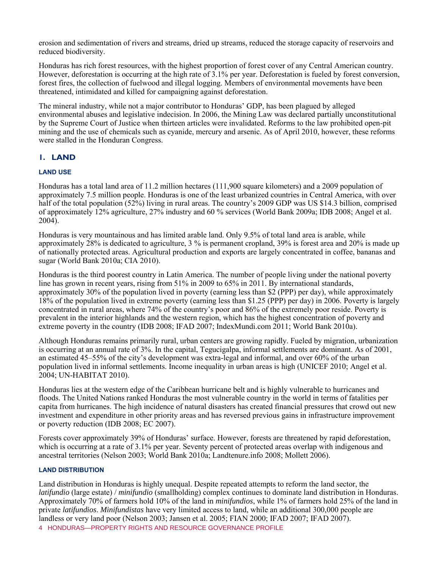erosion and sedimentation of rivers and streams, dried up streams, reduced the storage capacity of reservoirs and reduced biodiversity.

Honduras has rich forest resources, with the highest proportion of forest cover of any Central American country. However, deforestation is occurring at the high rate of 3.1% per year. Deforestation is fueled by forest conversion, forest fires, the collection of fuelwood and illegal logging. Members of environmental movements have been threatened, intimidated and killed for campaigning against deforestation.

The mineral industry, while not a major contributor to Honduras' GDP, has been plagued by alleged environmental abuses and legislative indecision. In 2006, the Mining Law was declared partially unconstitutional by the Supreme Court of Justice when thirteen articles were invalidated. Reforms to the law prohibited open-pit mining and the use of chemicals such as cyanide, mercury and arsenic. As of April 2010, however, these reforms were stalled in the Honduran Congress.

# **1. LAND**

#### **LAND USE**

Honduras has a total land area of 11.2 million hectares (111,900 square kilometers) and a 2009 population of approximately 7.5 million people. Honduras is one of the least urbanized countries in Central America, with over half of the total population (52%) living in rural areas. The country's 2009 GDP was US \$14.3 billion, comprised of approximately 12% agriculture, 27% industry and 60 % services (World Bank 2009a; IDB 2008; Angel et al. 2004).

Honduras is very mountainous and has limited arable land. Only 9.5% of total land area is arable, while approximately 28% is dedicated to agriculture, 3 % is permanent cropland, 39% is forest area and 20% is made up of nationally protected areas. Agricultural production and exports are largely concentrated in coffee, bananas and sugar (World Bank 2010a; CIA 2010).

Honduras is the third poorest country in Latin America. The number of people living under the national poverty line has grown in recent years, rising from 51% in 2009 to 65% in 2011. By international standards, approximately 30% of the population lived in poverty (earning less than \$2 (PPP) per day), while approximately 18% of the population lived in extreme poverty (earning less than \$1.25 (PPP) per day) in 2006. Poverty is largely concentrated in rural areas, where 74% of the country's poor and 86% of the extremely poor reside. Poverty is prevalent in the interior highlands and the western region, which has the highest concentration of poverty and extreme poverty in the country (IDB 2008; IFAD 2007; IndexMundi.com 2011; World Bank 2010a).

Although Honduras remains primarily rural, urban centers are growing rapidly. Fueled by migration, urbanization is occurring at an annual rate of 3%. In the capital, Tegucigalpa, informal settlements are dominant. As of 2001, an estimated 45–55% of the city's development was extra-legal and informal, and over 60% of the urban population lived in informal settlements. Income inequality in urban areas is high (UNICEF 2010; Angel et al. 2004; UN-HABITAT 2010).

Honduras lies at the western edge of the Caribbean hurricane belt and is highly vulnerable to hurricanes and floods. The United Nations ranked Honduras the most vulnerable country in the world in terms of fatalities per capita from hurricanes. The high incidence of natural disasters has created financial pressures that crowd out new investment and expenditure in other priority areas and has reversed previous gains in infrastructure improvement or poverty reduction (IDB 2008; EC 2007).

Forests cover approximately 39% of Honduras' surface. However, forests are threatened by rapid deforestation, which is occurring at a rate of 3.1% per year. Seventy percent of protected areas overlap with indigenous and ancestral territories (Nelson 2003; World Bank 2010a; Landtenure.info 2008; Mollett 2006).

#### **LAND DISTRIBUTION**

4 HONDURAS—PROPERTY RIGHTS AND RESOURCE GOVERNANCE PROFILE Land distribution in Honduras is highly unequal. Despite repeated attempts to reform the land sector, the *latifundio* (large estate) / *minifundio* (smallholding) complex continues to dominate land distribution in Honduras. Approximately 70% of farmers hold 10% of the land in *minifundios*, while 1% of farmers hold 25% of the land in private *latifundios*. *Minifundistas* have very limited access to land, while an additional 300,000 people are landless or very land poor (Nelson 2003; Jansen et al. 2005; FIAN 2000; IFAD 2007; IFAD 2007).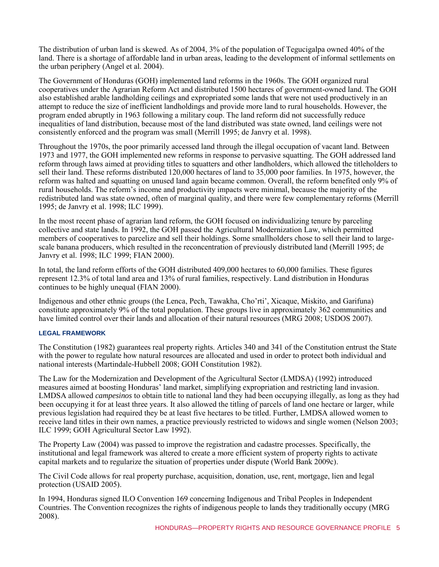The distribution of urban land is skewed. As of 2004, 3% of the population of Tegucigalpa owned 40% of the land. There is a shortage of affordable land in urban areas, leading to the development of informal settlements on the urban periphery (Angel et al. 2004).

The Government of Honduras (GOH) implemented land reforms in the 1960s. The GOH organized rural cooperatives under the Agrarian Reform Act and distributed 1500 hectares of government-owned land. The GOH also established arable landholding ceilings and expropriated some lands that were not used productively in an attempt to reduce the size of inefficient landholdings and provide more land to rural households. However, the program ended abruptly in 1963 following a military coup. The land reform did not successfully reduce inequalities of land distribution, because most of the land distributed was state owned, land ceilings were not consistently enforced and the program was small (Merrill 1995; de Janvry et al. 1998).

Throughout the 1970s, the poor primarily accessed land through the illegal occupation of vacant land. Between 1973 and 1977, the GOH implemented new reforms in response to pervasive squatting. The GOH addressed land reform through laws aimed at providing titles to squatters and other landholders, which allowed the titleholders to sell their land. These reforms distributed 120,000 hectares of land to 35,000 poor families. In 1975, however, the reform was halted and squatting on unused land again became common. Overall, the reform benefited only 9% of rural households. The reform's income and productivity impacts were minimal, because the majority of the redistributed land was state owned, often of marginal quality, and there were few complementary reforms (Merrill 1995; de Janvry et al. 1998; ILC 1999).

In the most recent phase of agrarian land reform, the GOH focused on individualizing tenure by parceling collective and state lands. In 1992, the GOH passed the Agricultural Modernization Law, which permitted members of cooperatives to parcelize and sell their holdings. Some smallholders chose to sell their land to largescale banana producers, which resulted in the reconcentration of previously distributed land (Merrill 1995; de Janvry et al. 1998; ILC 1999; FIAN 2000).

In total, the land reform efforts of the GOH distributed 409,000 hectares to 60,000 families. These figures represent 12.3% of total land area and 13% of rural families, respectively. Land distribution in Honduras continues to be highly unequal (FIAN 2000).

Indigenous and other ethnic groups (the Lenca, Pech, Tawakha, Cho'rti', Xicaque, Miskito, and Garifuna) constitute approximately 9% of the total population. These groups live in approximately 362 communities and have limited control over their lands and allocation of their natural resources (MRG 2008; USDOS 2007).

#### **LEGAL FRAMEWORK**

The Constitution (1982) guarantees real property rights. Articles 340 and 341 of the Constitution entrust the State with the power to regulate how natural resources are allocated and used in order to protect both individual and national interests (Martindale-Hubbell 2008; GOH Constitution 1982).

The Law for the Modernization and Development of the Agricultural Sector (LMDSA) (1992) introduced measures aimed at boosting Honduras' land market, simplifying expropriation and restricting land invasion. LMDSA allowed *campesinos* to obtain title to national land they had been occupying illegally, as long as they had been occupying it for at least three years. It also allowed the titling of parcels of land one hectare or larger, while previous legislation had required they be at least five hectares to be titled. Further, LMDSA allowed women to receive land titles in their own names, a practice previously restricted to widows and single women (Nelson 2003; ILC 1999; GOH Agricultural Sector Law 1992).

The Property Law (2004) was passed to improve the registration and cadastre processes. Specifically, the institutional and legal framework was altered to create a more efficient system of property rights to activate capital markets and to regularize the situation of properties under dispute (World Bank 2009c).

The Civil Code allows for real property purchase, acquisition, donation, use, rent, mortgage, lien and legal protection (USAID 2005).

In 1994, Honduras signed ILO Convention 169 concerning Indigenous and Tribal Peoples in Independent Countries. The Convention recognizes the rights of indigenous people to lands they traditionally occupy (MRG 2008).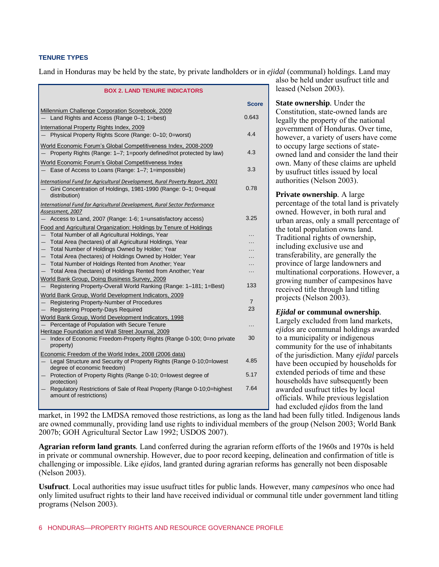#### **TENURE TYPES**

Land in Honduras may be held by the state, by private landholders or in *ejidal* (communal) holdings. Land may

| <b>BOX 2. LAND TENURE INDICATORS</b>                                                                                                                           |                |  |  |
|----------------------------------------------------------------------------------------------------------------------------------------------------------------|----------------|--|--|
|                                                                                                                                                                | Score          |  |  |
| Millennium Challenge Corporation Scorebook, 2009<br>Land Rights and Access (Range 0-1; 1=best)                                                                 | 0.643          |  |  |
| International Property Rights Index, 2009<br>Physical Property Rights Score (Range: 0-10; 0=worst)                                                             | 4.4            |  |  |
| World Economic Forum's Global Competitiveness Index, 2008-2009<br>Property Rights (Range: 1-7; 1=poorly defined/not protected by law)                          | 4.3            |  |  |
| World Economic Forum's Global Competitiveness Index<br>Ease of Access to Loans (Range: 1-7; 1=impossible)                                                      | 3.3            |  |  |
| International Fund for Agricultural Development, Rural Poverty Report, 2001<br>Gini Concentration of Holdings, 1981-1990 (Range: 0-1; 0=equal<br>distribution) | 0.78           |  |  |
| International Fund for Agricultural Development, Rural Sector Performance                                                                                      |                |  |  |
| Assessment, 2007<br>Access to Land, 2007 (Range: 1-6; 1=unsatisfactory access)                                                                                 | 3.25           |  |  |
| Food and Agricultural Organization: Holdings by Tenure of Holdings<br>Total Number of all Agricultural Holdings, Year                                          |                |  |  |
| $\overline{\phantom{0}}$<br>Total Area (hectares) of all Agricultural Holdings, Year<br>$\overline{\phantom{0}}$                                               |                |  |  |
| Total Number of Holdings Owned by Holder; Year<br>$\qquad \qquad -$                                                                                            |                |  |  |
| Total Area (hectares) of Holdings Owned by Holder; Year                                                                                                        |                |  |  |
| Total Number of Holdings Rented from Another; Year<br>$\qquad \qquad -$<br>Total Area (hectares) of Holdings Rented from Another; Year                         |                |  |  |
| World Bank Group, Doing Business Survey, 2009                                                                                                                  |                |  |  |
| Registering Property-Overall World Ranking (Range: 1-181; 1=Best)                                                                                              | 133            |  |  |
| World Bank Group, World Development Indicators, 2009                                                                                                           |                |  |  |
| Registering Property-Number of Procedures<br>$-$                                                                                                               | $\overline{7}$ |  |  |
| <b>Registering Property-Days Required</b>                                                                                                                      | 23             |  |  |
| World Bank Group, World Development Indicators, 1998                                                                                                           |                |  |  |
| Percentage of Population with Secure Tenure<br>Heritage Foundation and Wall Street Journal, 2009                                                               | $\ddotsc$      |  |  |
| Index of Economic Freedom-Property Rights (Range 0-100; 0=no private<br>$-$<br>property)                                                                       | 30             |  |  |
| Economic Freedom of the World Index, 2008 (2006 data)                                                                                                          |                |  |  |
| Legal Structure and Security of Property Rights (Range 0-10;0=lowest<br>degree of economic freedom)                                                            | 4.85           |  |  |
| Protection of Property Rights (Range 0-10; 0=lowest degree of<br>protection)                                                                                   | 5.17           |  |  |
| Regulatory Restrictions of Sale of Real Property (Range 0-10;0=highest<br>amount of restrictions)                                                              | 7.64           |  |  |
|                                                                                                                                                                |                |  |  |

also be held under usufruct title and leased (Nelson 2003).

**State ownership***.* Under the Constitution, state-owned lands are legally the property of the national government of Honduras. Over time, however, a variety of users have come to occupy large sections of stateowned land and consider the land their own. Many of these claims are upheld by usufruct titles issued by local authorities (Nelson 2003).

**Private ownership***.* A large percentage of the total land is privately owned. However, in both rural and urban areas, only a small percentage of the total population owns land. Traditional rights of ownership, including exclusive use and transferability, are generally the province of large landowners and multinational corporations. However, a growing number of campesinos have received title through land titling projects (Nelson 2003).

#### *Ejidal* **or communal ownership***.*

Largely excluded from land markets, *ejidos* are communal holdings awarded to a municipality or indigenous community for the use of inhabitants of the jurisdiction. Many *ejidal* parcels have been occupied by households for extended periods of time and these households have subsequently been awarded usufruct titles by local officials. While previous legislation had excluded *ejidos* from the land

market, in 1992 the LMDSA removed those restrictions, as long as the land had been fully titled. Indigenous lands are owned communally, providing land use rights to individual members of the group (Nelson 2003; World Bank 2007b; GOH Agricultural Sector Law 1992; USDOS 2007).

**Agrarian reform land grants***.* Land conferred during the agrarian reform efforts of the 1960s and 1970s is held in private or communal ownership. However, due to poor record keeping, delineation and confirmation of title is challenging or impossible. Like *ejidos*, land granted during agrarian reforms has generally not been disposable (Nelson 2003).

**Usufruct**. Local authorities may issue usufruct titles for public lands. However, many *campesinos* who once had only limited usufruct rights to their land have received individual or communal title under government land titling programs (Nelson 2003).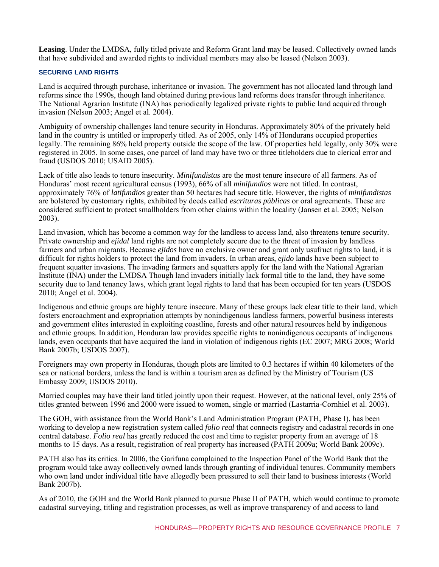**Leasing**. Under the LMDSA, fully titled private and Reform Grant land may be leased. Collectively owned lands that have subdivided and awarded rights to individual members may also be leased (Nelson 2003).

#### **SECURING LAND RIGHTS**

Land is acquired through purchase, inheritance or invasion. The government has not allocated land through land reforms since the 1990s, though land obtained during previous land reforms does transfer through inheritance. The National Agrarian Institute (INA) has periodically legalized private rights to public land acquired through invasion (Nelson 2003; Angel et al. 2004).

Ambiguity of ownership challenges land tenure security in Honduras. Approximately 80% of the privately held land in the country is untitled or improperly titled. As of 2005, only 14% of Hondurans occupied properties legally. The remaining 86% held property outside the scope of the law. Of properties held legally, only 30% were registered in 2005. In some cases, one parcel of land may have two or three titleholders due to clerical error and fraud (USDOS 2010; USAID 2005).

Lack of title also leads to tenure insecurity. *Minifundistas* are the most tenure insecure of all farmers. As of Honduras' most recent agricultural census (1993), 66% of all *minifundios* were not titled. In contrast, approximately 76% of *latifundios* greater than 50 hectares had secure title. However, the rights of *minifundistas* are bolstered by customary rights, exhibited by deeds called *escrituras públicas* or oral agreements. These are considered sufficient to protect smallholders from other claims within the locality (Jansen et al. 2005; Nelson 2003).

Land invasion, which has become a common way for the landless to access land, also threatens tenure security. Private ownership and *ejidal* land rights are not completely secure due to the threat of invasion by landless farmers and urban migrants. Because *ejidos* have no exclusive owner and grant only usufruct rights to land, it is difficult for rights holders to protect the land from invaders. In urban areas, *ejido* lands have been subject to frequent squatter invasions. The invading farmers and squatters apply for the land with the National Agrarian Institute (INA) under the LMDSA Though land invaders initially lack formal title to the land, they have some security due to land tenancy laws, which grant legal rights to land that has been occupied for ten years (USDOS 2010; Angel et al. 2004).

Indigenous and ethnic groups are highly tenure insecure. Many of these groups lack clear title to their land, which fosters encroachment and expropriation attempts by nonindigenous landless farmers, powerful business interests and government elites interested in exploiting coastline, forests and other natural resources held by indigenous and ethnic groups. In addition, Honduran law provides specific rights to nonindigenous occupants of indigenous lands, even occupants that have acquired the land in violation of indigenous rights (EC 2007; MRG 2008; World Bank 2007b; USDOS 2007).

Foreigners may own property in Honduras, though plots are limited to 0.3 hectares if within 40 kilometers of the sea or national borders, unless the land is within a tourism area as defined by the Ministry of Tourism (US Embassy 2009; USDOS 2010).

Married couples may have their land titled jointly upon their request. However, at the national level, only 25% of titles granted between 1996 and 2000 were issued to women, single or married (Lastarria-Cornhiel et al. 2003).

The GOH, with assistance from the World Bank's Land Administration Program (PATH, Phase I), has been working to develop a new registration system called *folio real* that connects registry and cadastral records in one central database. *Folio real* has greatly reduced the cost and time to register property from an average of 18 months to 15 days. As a result, registration of real property has increased (PATH 2009a; World Bank 2009c).

PATH also has its critics. In 2006, the Garifuna complained to the Inspection Panel of the World Bank that the program would take away collectively owned lands through granting of individual tenures. Community members who own land under individual title have allegedly been pressured to sell their land to business interests (World Bank 2007b).

As of 2010, the GOH and the World Bank planned to pursue Phase II of PATH, which would continue to promote cadastral surveying, titling and registration processes, as well as improve transparency of and access to land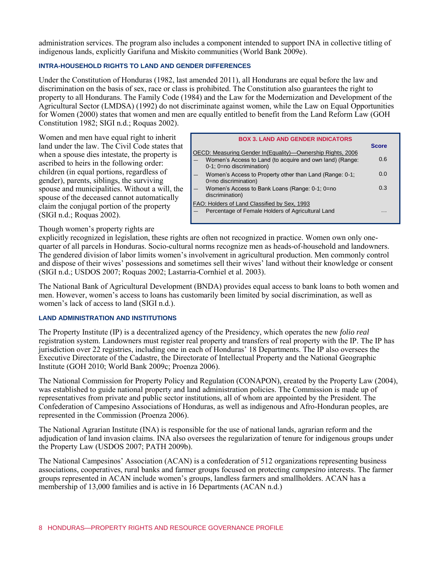administration services. The program also includes a component intended to support INA in collective titling of indigenous lands, explicitly Garifuna and Miskito communities (World Bank 2009e).

#### **INTRA-HOUSEHOLD RIGHTS TO LAND AND GENDER DIFFERENCES**

Under the Constitution of Honduras (1982, last amended 2011), all Hondurans are equal before the law and discrimination on the basis of sex, race or class is prohibited. The Constitution also guarantees the right to property to all Hondurans. The Family Code (1984) and the Law for the Modernization and Development of the Agricultural Sector (LMDSA) (1992) do not discriminate against women, while the Law on Equal Opportunities for Women (2000) states that women and men are equally entitled to benefit from the Land Reform Law (GOH Constitution 1982; SIGI n.d.; Roquas 2002).

Women and men have equal right to inherit land under the law. The Civil Code states that when a spouse dies intestate, the property is ascribed to heirs in the following order: children (in equal portions, regardless of gender), parents, siblings, the surviving spouse and municipalities. Without a will, the spouse of the deceased cannot automatically claim the conjugal portion of the property (SIGI n.d.; Roquas 2002).

|                                                                                       | <b>BOX 3. LAND AND GENDER INDICATORS</b> | <b>Score</b> |
|---------------------------------------------------------------------------------------|------------------------------------------|--------------|
| OECD: Measuring Gender In(Equality)—Ownership Rights, 2006                            |                                          |              |
| Women's Access to Land (to acquire and own land) (Range:<br>0-1; 0=no discrimination) |                                          | 0.6          |
| Women's Access to Property other than Land (Range: 0-1;<br>0=no discrimination)       |                                          | 0.0          |
| Women's Access to Bank Loans (Range: 0-1; 0=no<br>discrimination)                     |                                          | 0.3          |
| FAO: Holders of Land Classified by Sex, 1993                                          |                                          |              |
| Percentage of Female Holders of Agricultural Land                                     |                                          | .            |

Though women's property rights are

explicitly recognized in legislation, these rights are often not recognized in practice. Women own only onequarter of all parcels in Honduras. Socio-cultural norms recognize men as heads-of-household and landowners. The gendered division of labor limits women's involvement in agricultural production. Men commonly control and dispose of their wives' possessions and sometimes sell their wives' land without their knowledge or consent (SIGI n.d.; USDOS 2007; Roquas 2002; Lastarria-Cornhiel et al. 2003).

The National Bank of Agricultural Development (BNDA) provides equal access to bank loans to both women and men. However, women's access to loans has customarily been limited by social discrimination, as well as women's lack of access to land (SIGI n.d.).

#### **LAND ADMINISTRATION AND INSTITUTIONS**

The Property Institute (IP) is a decentralized agency of the Presidency, which operates the new *folio real* registration system. Landowners must register real property and transfers of real property with the IP. The IP has jurisdiction over 22 registries, including one in each of Honduras' 18 Departments. The IP also oversees the Executive Directorate of the Cadastre, the Directorate of Intellectual Property and the National Geographic Institute (GOH 2010; World Bank 2009c; Proenza 2006).

The National Commission for Property Policy and Regulation (CONAPON), created by the Property Law (2004), was established to guide national property and land administration policies. The Commission is made up of representatives from private and public sector institutions, all of whom are appointed by the President. The Confederation of Campesino Associations of Honduras, as well as indigenous and Afro-Honduran peoples, are represented in the Commission (Proenza 2006).

The National Agrarian Institute (INA) is responsible for the use of national lands, agrarian reform and the adjudication of land invasion claims. INA also oversees the regularization of tenure for indigenous groups under the Property Law (USDOS 2007; PATH 2009b).

The National Campesinos' Association (ACAN) is a confederation of 512 organizations representing business associations, cooperatives, rural banks and farmer groups focused on protecting *campesino* interests. The farmer groups represented in ACAN include women's groups, landless farmers and smallholders. ACAN has a membership of 13,000 families and is active in 16 Departments (ACAN n.d.)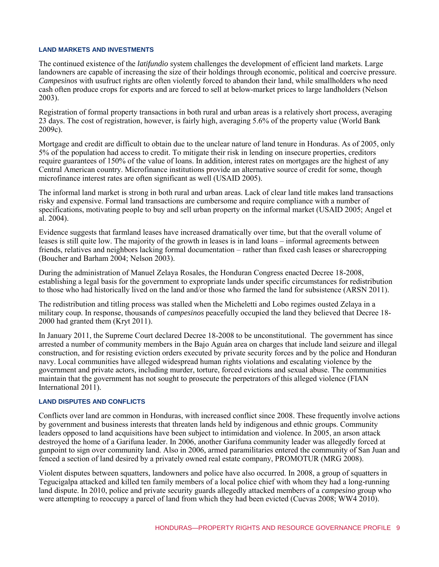#### **LAND MARKETS AND INVESTMENTS**

The continued existence of the *latifundio* system challenges the development of efficient land markets. Large landowners are capable of increasing the size of their holdings through economic, political and coercive pressure. *Campesinos* with usufruct rights are often violently forced to abandon their land, while smallholders who need cash often produce crops for exports and are forced to sell at below-market prices to large landholders (Nelson 2003).

Registration of formal property transactions in both rural and urban areas is a relatively short process, averaging 23 days. The cost of registration, however, is fairly high, averaging 5.6% of the property value (World Bank 2009c).

Mortgage and credit are difficult to obtain due to the unclear nature of land tenure in Honduras. As of 2005, only 5% of the population had access to credit. To mitigate their risk in lending on insecure properties, creditors require guarantees of 150% of the value of loans. In addition, interest rates on mortgages are the highest of any Central American country. Microfinance institutions provide an alternative source of credit for some, though microfinance interest rates are often significant as well (USAID 2005).

The informal land market is strong in both rural and urban areas. Lack of clear land title makes land transactions risky and expensive. Formal land transactions are cumbersome and require compliance with a number of specifications, motivating people to buy and sell urban property on the informal market (USAID 2005; Angel et  $a\hat{1}$ . 2004).

Evidence suggests that farmland leases have increased dramatically over time, but that the overall volume of leases is still quite low. The majority of the growth in leases is in land loans – informal agreements between friends, relatives and neighbors lacking formal documentation – rather than fixed cash leases or sharecropping (Boucher and Barham 2004; Nelson 2003).

During the administration of Manuel Zelaya Rosales, the Honduran Congress enacted Decree 18-2008, establishing a legal basis for the government to expropriate lands under specific circumstances for redistribution to those who had historically lived on the land and/or those who farmed the land for subsistence (ARSN 2011).

The redistribution and titling process was stalled when the Micheletti and Lobo regimes ousted Zelaya in a military coup. In response, thousands of *campesinos* peacefully occupied the land they believed that Decree 18- 2000 had granted them (Kryt 2011).

In January 2011, the Supreme Court declared Decree 18-2008 to be unconstitutional. The government has since arrested a number of community members in the Bajo Aguán area on charges that include land seizure and illegal construction, and for resisting eviction orders executed by private security forces and by the police and Honduran navy. Local communities have alleged widespread human rights violations and escalating violence by the government and private actors, including murder, torture, forced evictions and sexual abuse. The communities maintain that the government has not sought to prosecute the perpetrators of this alleged violence (FIAN International 2011).

#### **LAND DISPUTES AND CONFLICTS**

Conflicts over land are common in Honduras, with increased conflict since 2008. These frequently involve actions by government and business interests that threaten lands held by indigenous and ethnic groups. Community leaders opposed to land acquisitions have been subject to intimidation and violence. In 2005, an arson attack destroyed the home of a Garifuna leader. In 2006, another Garifuna community leader was allegedly forced at gunpoint to sign over community land. Also in 2006, armed paramilitaries entered the community of San Juan and fenced a section of land desired by a privately owned real estate company, PROMOTUR (MRG 2008).

Violent disputes between squatters, landowners and police have also occurred. In 2008, a group of squatters in Tegucigalpa attacked and killed ten family members of a local police chief with whom they had a long-running land dispute. In 2010, police and private security guards allegedly attacked members of a *campesino* group who were attempting to reoccupy a parcel of land from which they had been evicted (Cuevas 2008; WW4 2010).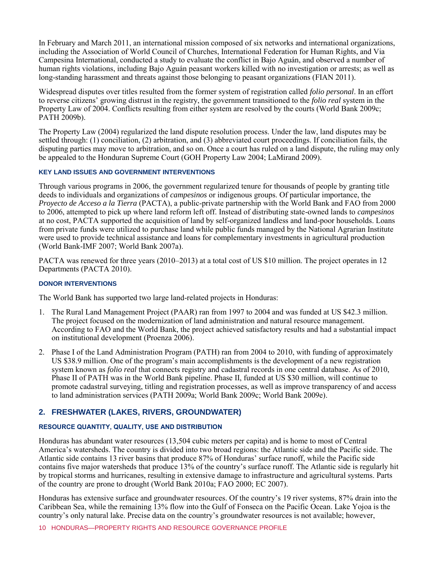In February and March 2011, an international mission composed of six networks and international organizations, including the Association of World Council of Churches, International Federation for Human Rights, and Via Campesina International, conducted a study to evaluate the conflict in Bajo Aguán, and observed a number of human rights violations, including Bajo Aguán peasant workers killed with no investigation or arrests; as well as long-standing harassment and threats against those belonging to peasant organizations (FIAN 2011).

Widespread disputes over titles resulted from the former system of registration called *folio personal*. In an effort to reverse citizens' growing distrust in the registry, the government transitioned to the *folio real* system in the Property Law of 2004. Conflicts resulting from either system are resolved by the courts (World Bank 2009c; PATH 2009b).

The Property Law (2004) regularized the land dispute resolution process. Under the law, land disputes may be settled through: (1) conciliation, (2) arbitration, and (3) abbreviated court proceedings. If conciliation fails, the disputing parties may move to arbitration, and so on. Once a court has ruled on a land dispute, the ruling may only be appealed to the Honduran Supreme Court (GOH Property Law 2004; LaMirand 2009).

#### **KEY LAND ISSUES AND GOVERNMENT INTERVENTIONS**

Through various programs in 2006, the government regularized tenure for thousands of people by granting title deeds to individuals and organizations of *campesinos* or indigenous groups. Of particular importance, the *Proyecto de Acceso a la Tierra* (PACTA), a public-private partnership with the World Bank and FAO from 2000 to 2006, attempted to pick up where land reform left off. Instead of distributing state-owned lands to *campesinos* at no cost, PACTA supported the acquisition of land by self-organized landless and land-poor households. Loans from private funds were utilized to purchase land while public funds managed by the National Agrarian Institute were used to provide technical assistance and loans for complementary investments in agricultural production (World Bank-IMF 2007; World Bank 2007a).

PACTA was renewed for three years (2010–2013) at a total cost of US \$10 million. The project operates in 12 Departments (PACTA 2010).

#### **DONOR INTERVENTIONS**

The World Bank has supported two large land-related projects in Honduras:

- 1. The Rural Land Management Project (PAAR) ran from 1997 to 2004 and was funded at US \$42.3 million. The project focused on the modernization of land administration and natural resource management. According to FAO and the World Bank, the project achieved satisfactory results and had a substantial impact on institutional development (Proenza 2006).
- 2. Phase I of the Land Administration Program (PATH) ran from 2004 to 2010, with funding of approximately US \$38.9 million. One of the program's main accomplishments is the development of a new registration system known as *folio real* that connects registry and cadastral records in one central database. As of 2010, Phase II of PATH was in the World Bank pipeline. Phase II, funded at US \$30 million, will continue to promote cadastral surveying, titling and registration processes, as well as improve transparency of and access to land administration services (PATH 2009a; World Bank 2009c; World Bank 2009e).

# **2. FRESHWATER (LAKES, RIVERS, GROUNDWATER)**

#### **RESOURCE QUANTITY, QUALITY, USE AND DISTRIBUTION**

Honduras has abundant water resources (13,504 cubic meters per capita) and is home to most of Central America's watersheds. The country is divided into two broad regions: the Atlantic side and the Pacific side. The Atlantic side contains 13 river basins that produce 87% of Honduras' surface runoff, while the Pacific side contains five major watersheds that produce 13% of the country's surface runoff. The Atlantic side is regularly hit by tropical storms and hurricanes, resulting in extensive damage to infrastructure and agricultural systems. Parts of the country are prone to drought (World Bank 2010a; FAO 2000; EC 2007).

Honduras has extensive surface and groundwater resources. Of the country's 19 river systems, 87% drain into the Caribbean Sea, while the remaining 13% flow into the Gulf of Fonseca on the Pacific Ocean. Lake Yojoa is the country's only natural lake. Precise data on the country's groundwater resources is not available; however,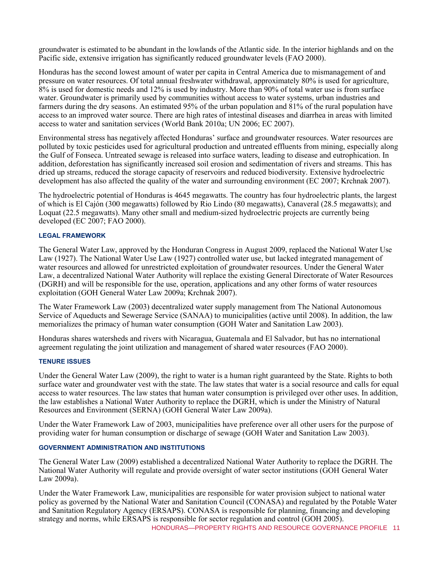groundwater is estimated to be abundant in the lowlands of the Atlantic side. In the interior highlands and on the Pacific side, extensive irrigation has significantly reduced groundwater levels (FAO 2000).

Honduras has the second lowest amount of water per capita in Central America due to mismanagement of and pressure on water resources. Of total annual freshwater withdrawal, approximately 80% is used for agriculture, 8% is used for domestic needs and 12% is used by industry. More than 90% of total water use is from surface water. Groundwater is primarily used by communities without access to water systems, urban industries and farmers during the dry seasons. An estimated 95% of the urban population and 81% of the rural population have access to an improved water source. There are high rates of intestinal diseases and diarrhea in areas with limited access to water and sanitation services (World Bank 2010a; UN 2006; EC 2007).

Environmental stress has negatively affected Honduras' surface and groundwater resources. Water resources are polluted by toxic pesticides used for agricultural production and untreated effluents from mining, especially along the Gulf of Fonseca. Untreated sewage is released into surface waters, leading to disease and eutrophication. In addition, deforestation has significantly increased soil erosion and sedimentation of rivers and streams. This has dried up streams, reduced the storage capacity of reservoirs and reduced biodiversity. Extensive hydroelectric development has also affected the quality of the water and surrounding environment (EC 2007; Krchnak 2007).

The hydroelectric potential of Honduras is 4645 megawatts. The country has four hydroelectric plants, the largest of which is El Cajón (300 megawatts) followed by Rio Lindo (80 megawatts), Canaveral (28.5 megawatts); and Loquat (22.5 megawatts). Many other small and medium-sized hydroelectric projects are currently being developed (EC 2007; FAO 2000).

#### **LEGAL FRAMEWORK**

The General Water Law, approved by the Honduran Congress in August 2009, replaced the National Water Use Law (1927). The National Water Use Law (1927) controlled water use, but lacked integrated management of water resources and allowed for unrestricted exploitation of groundwater resources. Under the General Water Law, a decentralized National Water Authority will replace the existing General Directorate of Water Resources (DGRH) and will be responsible for the use, operation, applications and any other forms of water resources exploitation (GOH General Water Law 2009a; Krchnak 2007).

The Water Framework Law (2003) decentralized water supply management from The National Autonomous Service of Aqueducts and Sewerage Service (SANAA) to municipalities (active until 2008). In addition, the law memorializes the primacy of human water consumption (GOH Water and Sanitation Law 2003).

Honduras shares watersheds and rivers with Nicaragua, Guatemala and El Salvador, but has no international agreement regulating the joint utilization and management of shared water resources (FAO 2000).

#### **TENURE ISSUES**

Under the General Water Law (2009), the right to water is a human right guaranteed by the State. Rights to both surface water and groundwater vest with the state. The law states that water is a social resource and calls for equal access to water resources. The law states that human water consumption is privileged over other uses. In addition, the law establishes a National Water Authority to replace the DGRH, which is under the Ministry of Natural Resources and Environment (SERNA) (GOH General Water Law 2009a).

Under the Water Framework Law of 2003, municipalities have preference over all other users for the purpose of providing water for human consumption or discharge of sewage (GOH Water and Sanitation Law 2003).

#### **GOVERNMENT ADMINISTRATION AND INSTITUTIONS**

The General Water Law (2009) established a decentralized National Water Authority to replace the DGRH. The National Water Authority will regulate and provide oversight of water sector institutions (GOH General Water Law 2009a).

HONDURAS—PROPERTY RIGHTS AND RESOURCE GOVERNANCE PROFILE 11 Under the Water Framework Law, municipalities are responsible for water provision subject to national water policy as governed by the National Water and Sanitation Council (CONASA) and regulated by the Potable Water and Sanitation Regulatory Agency (ERSAPS). CONASA is responsible for planning, financing and developing strategy and norms, while ERSAPS is responsible for sector regulation and control (GOH 2005).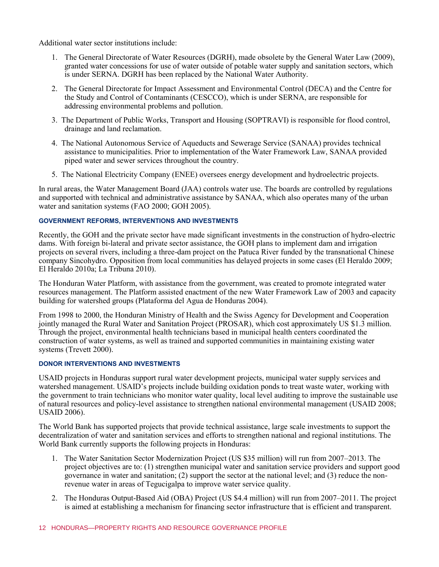Additional water sector institutions include:

- 1. The General Directorate of Water Resources (DGRH), made obsolete by the General Water Law (2009), granted water concessions for use of water outside of potable water supply and sanitation sectors, which is under SERNA. DGRH has been replaced by the National Water Authority.
- 2. The General Directorate for Impact Assessment and Environmental Control (DECA) and the Centre for the Study and Control of Contaminants (CESCCO), which is under SERNA, are responsible for addressing environmental problems and pollution.
- 3. The Department of Public Works, Transport and Housing (SOPTRAVI) is responsible for flood control, drainage and land reclamation.
- 4. The National Autonomous Service of Aqueducts and Sewerage Service (SANAA) provides technical assistance to municipalities. Prior to implementation of the Water Framework Law, SANAA provided piped water and sewer services throughout the country.
- 5. The National Electricity Company (ENEE) oversees energy development and hydroelectric projects.

In rural areas, the Water Management Board (JAA) controls water use. The boards are controlled by regulations and supported with technical and administrative assistance by SANAA, which also operates many of the urban water and sanitation systems (FAO 2000; GOH 2005).

#### **GOVERNMENT REFORMS, INTERVENTIONS AND INVESTMENTS**

Recently, the GOH and the private sector have made significant investments in the construction of hydro-electric dams. With foreign bi-lateral and private sector assistance, the GOH plans to implement dam and irrigation projects on several rivers, including a three-dam project on the Patuca River funded by the transnational Chinese company Sincohydro. Opposition from local communities has delayed projects in some cases (El Heraldo 2009; El Heraldo 2010a; La Tribuna 2010).

The Honduran Water Platform, with assistance from the government, was created to promote integrated water resources management. The Platform assisted enactment of the new Water Framework Law of 2003 and capacity building for watershed groups (Plataforma del Agua de Honduras 2004).

From 1998 to 2000, the Honduran Ministry of Health and the Swiss Agency for Development and Cooperation jointly managed the Rural Water and Sanitation Project (PROSAR), which cost approximately US \$1.3 million. Through the project, environmental health technicians based in municipal health centers coordinated the construction of water systems, as well as trained and supported communities in maintaining existing water systems (Trevett 2000).

#### **DONOR INTERVENTIONS AND INVESTMENTS**

USAID projects in Honduras support rural water development projects, municipal water supply services and watershed management. USAID's projects include building oxidation ponds to treat waste water, working with the government to train technicians who monitor water quality, local level auditing to improve the sustainable use of natural resources and policy-level assistance to strengthen national environmental management (USAID 2008; USAID 2006).

The World Bank has supported projects that provide technical assistance, large scale investments to support the decentralization of water and sanitation services and efforts to strengthen national and regional institutions. The World Bank currently supports the following projects in Honduras:

- 1. The Water Sanitation Sector Modernization Project (US \$35 million) will run from 2007–2013. The project objectives are to: (1) strengthen municipal water and sanitation service providers and support good governance in water and sanitation; (2) support the sector at the national level; and (3) reduce the nonrevenue water in areas of Tegucigalpa to improve water service quality.
- 2. The Honduras Output-Based Aid (OBA) Project (US \$4.4 million) will run from 2007–2011. The project is aimed at establishing a mechanism for financing sector infrastructure that is efficient and transparent.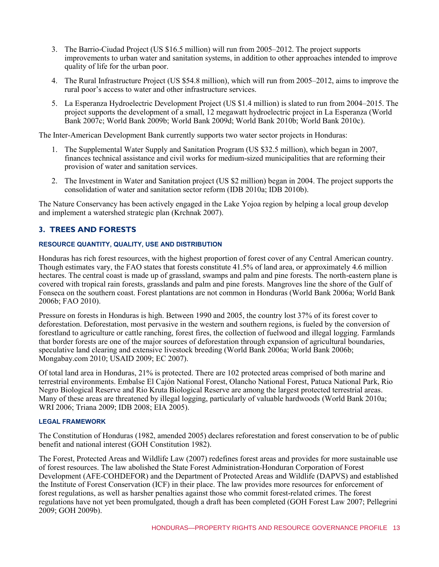- 3. The Barrio-Ciudad Project (US \$16.5 million) will run from 2005–2012. The project supports improvements to urban water and sanitation systems, in addition to other approaches intended to improve quality of life for the urban poor.
- 4. The Rural Infrastructure Project (US \$54.8 million), which will run from 2005–2012, aims to improve the rural poor's access to water and other infrastructure services.
- 5. La Esperanza Hydroelectric Development Project (US \$1.4 million) is slated to run from 2004–2015. The project supports the development of a small, 12 megawatt hydroelectric project in La Esperanza (World Bank 2007c; World Bank 2009b; World Bank 2009d; World Bank 2010b; World Bank 2010c).

The Inter-American Development Bank currently supports two water sector projects in Honduras:

- 1. The Supplemental Water Supply and Sanitation Program (US \$32.5 million), which began in 2007, finances technical assistance and civil works for medium-sized municipalities that are reforming their provision of water and sanitation services.
- 2. The Investment in Water and Sanitation project (US \$2 million) began in 2004. The project supports the consolidation of water and sanitation sector reform (IDB 2010a; IDB 2010b).

The Nature Conservancy has been actively engaged in the Lake Yojoa region by helping a local group develop and implement a watershed strategic plan (Krchnak 2007).

# **3. TREES AND FORESTS**

#### **RESOURCE QUANTITY, QUALITY, USE AND DISTRIBUTION**

Honduras has rich forest resources, with the highest proportion of forest cover of any Central American country. Though estimates vary, the FAO states that forests constitute 41.5% of land area, or approximately 4.6 million hectares. The central coast is made up of grassland, swamps and palm and pine forests. The north-eastern plane is covered with tropical rain forests, grasslands and palm and pine forests. Mangroves line the shore of the Gulf of Fonseca on the southern coast. Forest plantations are not common in Honduras (World Bank 2006a; World Bank 2006b; FAO 2010).

Pressure on forests in Honduras is high. Between 1990 and 2005, the country lost 37% of its forest cover to deforestation. Deforestation, most pervasive in the western and southern regions, is fueled by the conversion of forestland to agriculture or cattle ranching, forest fires, the collection of fuelwood and illegal logging. Farmlands that border forests are one of the major sources of deforestation through expansion of agricultural boundaries, speculative land clearing and extensive livestock breeding (World Bank 2006a; World Bank 2006b; Mongabay.com 2010; USAID 2009; EC 2007).

Of total land area in Honduras, 21% is protected. There are 102 protected areas comprised of both marine and terrestrial environments. Embalse El Cajón National Forest, Olancho National Forest, Patuca National Park, Rio Negro Biological Reserve and Rio Kruta Biological Reserve are among the largest protected terrestrial areas. Many of these areas are threatened by illegal logging, particularly of valuable hardwoods (World Bank 2010a; WRI 2006; Triana 2009; IDB 2008; EIA 2005).

#### **LEGAL FRAMEWORK**

The Constitution of Honduras (1982, amended 2005) declares reforestation and forest conservation to be of public benefit and national interest (GOH Constitution 1982).

The Forest, Protected Areas and Wildlife Law (2007) redefines forest areas and provides for more sustainable use of forest resources. The law abolished the State Forest Administration-Honduran Corporation of Forest Development (AFE-COHDEFOR) and the Department of Protected Areas and Wildlife (DAPVS) and established the Institute of Forest Conservation (ICF) in their place. The law provides more resources for enforcement of forest regulations, as well as harsher penalties against those who commit forest-related crimes. The forest regulations have not yet been promulgated, though a draft has been completed (GOH Forest Law 2007; Pellegrini 2009; GOH 2009b).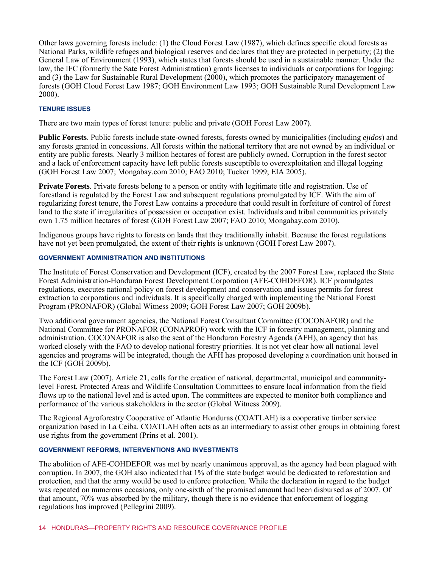Other laws governing forests include: (1) the Cloud Forest Law (1987), which defines specific cloud forests as National Parks, wildlife refuges and biological reserves and declares that they are protected in perpetuity; (2) the General Law of Environment (1993), which states that forests should be used in a sustainable manner. Under the law, the IFC (formerly the Sate Forest Administration) grants licenses to individuals or corporations for logging; and (3) the Law for Sustainable Rural Development (2000), which promotes the participatory management of forests (GOH Cloud Forest Law 1987; GOH Environment Law 1993; GOH Sustainable Rural Development Law 2000).

#### **TENURE ISSUES**

There are two main types of forest tenure: public and private (GOH Forest Law 2007).

**Public Forests**. Public forests include state-owned forests, forests owned by municipalities (including *ejidos*) and any forests granted in concessions. All forests within the national territory that are not owned by an individual or entity are public forests. Nearly 3 million hectares of forest are publicly owned. Corruption in the forest sector and a lack of enforcement capacity have left public forests susceptible to overexploitation and illegal logging (GOH Forest Law 2007; Mongabay.com 2010; FAO 2010; Tucker 1999; EIA 2005).

**Private Forests***.* Private forests belong to a person or entity with legitimate title and registration. Use of forestland is regulated by the Forest Law and subsequent regulations promulgated by ICF. With the aim of regularizing forest tenure, the Forest Law contains a procedure that could result in forfeiture of control of forest land to the state if irregularities of possession or occupation exist. Individuals and tribal communities privately own 1.75 million hectares of forest (GOH Forest Law 2007; FAO 2010; Mongabay.com 2010).

Indigenous groups have rights to forests on lands that they traditionally inhabit. Because the forest regulations have not yet been promulgated, the extent of their rights is unknown (GOH Forest Law 2007).

#### **GOVERNMENT ADMINISTRATION AND INSTITUTIONS**

The Institute of Forest Conservation and Development (ICF), created by the 2007 Forest Law, replaced the State Forest Administration-Honduran Forest Development Corporation (AFE-COHDEFOR). ICF promulgates regulations, executes national policy on forest development and conservation and issues permits for forest extraction to corporations and individuals. It is specifically charged with implementing the National Forest Program (PRONAFOR) (Global Witness 2009; GOH Forest Law 2007; GOH 2009b).

Two additional government agencies, the National Forest Consultant Committee (COCONAFOR) and the National Committee for PRONAFOR (CONAPROF) work with the ICF in forestry management, planning and administration. COCONAFOR is also the seat of the Honduran Forestry Agenda (AFH), an agency that has worked closely with the FAO to develop national forestry priorities. It is not yet clear how all national level agencies and programs will be integrated, though the AFH has proposed developing a coordination unit housed in the ICF (GOH 2009b).

The Forest Law (2007), Article 21, calls for the creation of national, departmental, municipal and communitylevel Forest, Protected Areas and Wildlife Consultation Committees to ensure local information from the field flows up to the national level and is acted upon. The committees are expected to monitor both compliance and performance of the various stakeholders in the sector (Global Witness 2009).

The Regional Agroforestry Cooperative of Atlantic Honduras (COATLAH) is a cooperative timber service organization based in La Ceiba. COATLAH often acts as an intermediary to assist other groups in obtaining forest use rights from the government (Prins et al. 2001).

#### **GOVERNMENT REFORMS, INTERVENTIONS AND INVESTMENTS**

The abolition of AFE-COHDEFOR was met by nearly unanimous approval, as the agency had been plagued with corruption. In 2007, the GOH also indicated that 1% of the state budget would be dedicated to reforestation and protection, and that the army would be used to enforce protection. While the declaration in regard to the budget was repeated on numerous occasions, only one-sixth of the promised amount had been disbursed as of 2007. Of that amount, 70% was absorbed by the military, though there is no evidence that enforcement of logging regulations has improved (Pellegrini 2009).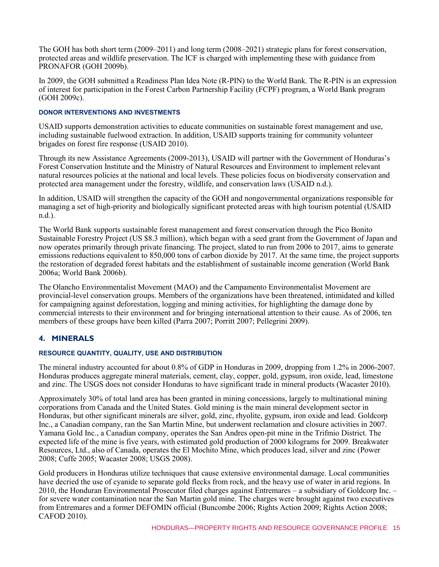The GOH has both short term (2009–2011) and long term (2008–2021) strategic plans for forest conservation, protected areas and wildlife preservation. The ICF is charged with implementing these with guidance from PRONAFOR (GOH 2009b).

In 2009, the GOH submitted a Readiness Plan Idea Note (R-PIN) to the World Bank. The R-PIN is an expression of interest for participation in the Forest Carbon Partnership Facility (FCPF) program, a World Bank program (GOH 2009c).

#### **DONOR INTERVENTIONS AND INVESTMENTS**

USAID supports demonstration activities to educate communities on sustainable forest management and use, including sustainable fuelwood extraction. In addition, USAID supports training for community volunteer brigades on forest fire response (USAID 2010).

Through its new Assistance Agreements (2009-2013), USAID will partner with the Government of Honduras's Forest Conservation Institute and the Ministry of Natural Resources and Environment to implement relevant natural resources policies at the national and local levels. These policies focus on biodiversity conservation and protected area management under the forestry, wildlife, and conservation laws (USAID n.d.).

In addition, USAID will strengthen the capacity of the GOH and nongovernmental organizations responsible for managing a set of high-priority and biologically significant protected areas with high tourism potential (USAID n.d.).

The World Bank supports sustainable forest management and forest conservation through the Pico Bonito Sustainable Forestry Project (US \$8.3 million), which began with a seed grant from the Government of Japan and now operates primarily through private financing. The project, slated to run from 2006 to 2017, aims to generate emissions reductions equivalent to 850,000 tons of carbon dioxide by 2017. At the same time, the project supports the restoration of degraded forest habitats and the establishment of sustainable income generation (World Bank 2006a; World Bank 2006b).

The Olancho Environmentalist Movement (MAO) and the Campamento Environmentalist Movement are provincial-level conservation groups. Members of the organizations have been threatened, intimidated and killed for campaigning against deforestation, logging and mining activities, for highlighting the damage done by commercial interests to their environment and for bringing international attention to their cause. As of 2006, ten members of these groups have been killed (Parra 2007; Porritt 2007; Pellegrini 2009).

# **4. MINERALS**

#### **RESOURCE QUANTITY, QUALITY, USE AND DISTRIBUTION**

The mineral industry accounted for about 0.8% of GDP in Honduras in 2009, dropping from 1.2% in 2006-2007. Honduras produces aggregate mineral materials, cement, clay, copper, gold, gypsum, iron oxide, lead, limestone and zinc. The USGS does not consider Honduras to have significant trade in mineral products (Wacaster 2010).

Approximately 30% of total land area has been granted in mining concessions, largely to multinational mining corporations from Canada and the United States. Gold mining is the main mineral development sector in Honduras, but other significant minerals are silver, gold, zinc, rhyolite, gypsum, iron oxide and lead. Goldcorp Inc., a Canadian company, ran the San Martin Mine, but underwent reclamation and closure activities in 2007. Yamana Gold Inc., a Canadian company, operates the San Andres open-pit mine in the Trifmio District. The expected life of the mine is five years, with estimated gold production of 2000 kilograms for 2009. Breakwater Resources, Ltd., also of Canada, operates the El Mochito Mine, which produces lead, silver and zinc (Power 2008; Cuffe 2005; Wacaster 2008; USGS 2008).

Gold producers in Honduras utilize techniques that cause extensive environmental damage. Local communities have decried the use of cyanide to separate gold flecks from rock, and the heavy use of water in arid regions. In 2010, the Honduran Environmental Prosecutor filed charges against Entremares – a subsidiary of Goldcorp Inc. – for severe water contamination near the San Martin gold mine. The charges were brought against two executives from Entremares and a former DEFOMIN official (Buncombe 2006; Rights Action 2009; Rights Action 2008; CAFOD 2010).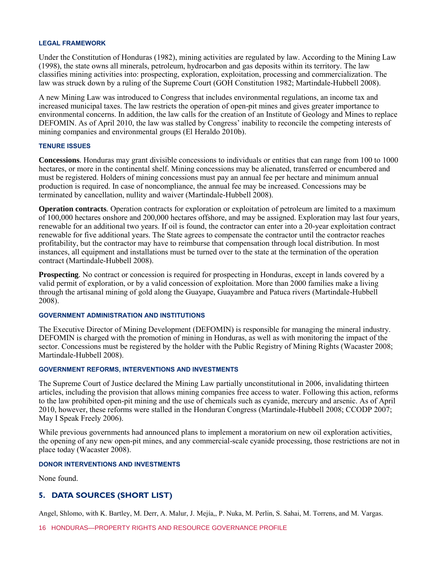#### **LEGAL FRAMEWORK**

Under the Constitution of Honduras (1982), mining activities are regulated by law. According to the Mining Law (1998), the state owns all minerals, petroleum, hydrocarbon and gas deposits within its territory. The law classifies mining activities into: prospecting, exploration, exploitation, processing and commercialization. The law was struck down by a ruling of the Supreme Court (GOH Constitution 1982; Martindale-Hubbell 2008).

A new Mining Law was introduced to Congress that includes environmental regulations, an income tax and increased municipal taxes. The law restricts the operation of open-pit mines and gives greater importance to environmental concerns. In addition, the law calls for the creation of an Institute of Geology and Mines to replace DEFOMIN. As of April 2010, the law was stalled by Congress' inability to reconcile the competing interests of mining companies and environmental groups (El Heraldo 2010b).

#### **TENURE ISSUES**

**Concessions***.* Honduras may grant divisible concessions to individuals or entities that can range from 100 to 1000 hectares, or more in the continental shelf. Mining concessions may be alienated, transferred or encumbered and must be registered. Holders of mining concessions must pay an annual fee per hectare and minimum annual production is required. In case of noncompliance, the annual fee may be increased. Concessions may be terminated by cancellation, nullity and waiver (Martindale-Hubbell 2008).

**Operation contracts***.* Operation contracts for exploration or exploitation of petroleum are limited to a maximum of 100,000 hectares onshore and 200,000 hectares offshore, and may be assigned. Exploration may last four years, renewable for an additional two years. If oil is found, the contractor can enter into a 20-year exploitation contract renewable for five additional years. The State agrees to compensate the contractor until the contractor reaches profitability, but the contractor may have to reimburse that compensation through local distribution. In most instances, all equipment and installations must be turned over to the state at the termination of the operation contract (Martindale-Hubbell 2008).

**Prospecting***.* No contract or concession is required for prospecting in Honduras, except in lands covered by a valid permit of exploration, or by a valid concession of exploitation. More than 2000 families make a living through the artisanal mining of gold along the Guayape, Guayambre and Patuca rivers (Martindale-Hubbell 2008).

#### **GOVERNMENT ADMINISTRATION AND INSTITUTIONS**

The Executive Director of Mining Development (DEFOMIN) is responsible for managing the mineral industry. DEFOMIN is charged with the promotion of mining in Honduras, as well as with monitoring the impact of the sector. Concessions must be registered by the holder with the Public Registry of Mining Rights (Wacaster 2008; Martindale-Hubbell 2008).

#### **GOVERNMENT REFORMS, INTERVENTIONS AND INVESTMENTS**

The Supreme Court of Justice declared the Mining Law partially unconstitutional in 2006, invalidating thirteen articles, including the provision that allows mining companies free access to water. Following this action, reforms to the law prohibited open-pit mining and the use of chemicals such as cyanide, mercury and arsenic. As of April 2010, however, these reforms were stalled in the Honduran Congress (Martindale-Hubbell 2008; CCODP 2007; May I Speak Freely 2006).

While previous governments had announced plans to implement a moratorium on new oil exploration activities, the opening of any new open-pit mines, and any commercial-scale cyanide processing, those restrictions are not in place today (Wacaster 2008).

#### **DONOR INTERVENTIONS AND INVESTMENTS**

None found.

#### **5. DATA SOURCES (SHORT LIST)**

Angel, Shlomo, with K. Bartley, M. Derr, A. Malur, J. Mejía,, P. Nuka, M. Perlin, S. Sahai, M. Torrens, and M. Vargas.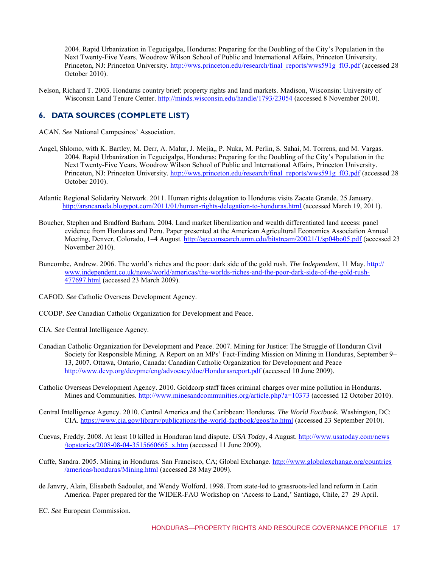2004. Rapid Urbanization in Tegucigalpa, Honduras: Preparing for the Doubling of the City's Population in the Next Twenty-Five Years. Woodrow Wilson School of Public and International Affairs, Princeton University. Princeton, NJ: Princeton University. [http://wws.princeton.edu/research/final\\_reports/wws591g\\_f03.pdf](http://wws.princeton.edu/research/final_reports/wws591g_f03.pdf) (accessed 28 October 2010).

Nelson, Richard T. 2003. Honduras country brief: property rights and land markets. Madison, Wisconsin: University of Wisconsin Land Tenure Center.<http://minds.wisconsin.edu/handle/1793/23054>(accessed 8 November 2010).

# **6. DATA SOURCES (COMPLETE LIST)**

ACAN. *See* National Campesinos' Association.

- Angel, Shlomo, with K. Bartley, M. Derr, A. Malur, J. Mejía,, P. Nuka, M. Perlin, S. Sahai, M. Torrens, and M. Vargas. 2004. Rapid Urbanization in Tegucigalpa, Honduras: Preparing for the Doubling of the City's Population in the Next Twenty-Five Years. Woodrow Wilson School of Public and International Affairs, Princeton University. Princeton, NJ: Princeton University. [http://wws.princeton.edu/research/final\\_reports/wws591g\\_f03.pdf](http://wws.princeton.edu/research/final_reports/wws591g_f03.pdf) (accessed 28 October 2010).
- Atlantic Regional Solidarity Network. 2011. Human rights delegation to Honduras visits Zacate Grande. 25 January. <http://arsncanada.blogspot.com/2011/01/human-rights-delegation-to-honduras.html>(accessed March 19, 2011).
- Boucher, Stephen and Bradford Barham. 2004. Land market liberalization and wealth differentiated land access: panel evidence from Honduras and Peru. Paper presented at the American Agricultural Economics Association Annual Meeting, Denver, Colorado, 1–4 August.<http://ageconsearch.umn.edu/bitstream/20021/1/sp04bo05.pdf>(accessed 23 November 2010).
- Buncombe, Andrew. 2006. The world's riches and the poor: dark side of the gold rush. *The Independent*, 11 May. [http://](http://www.independent.co.uk/news/world/americas/the-worlds-riches-and-the-poor-dark-side-of-the-gold-rush-477697.html)  [www.independent.co.uk/news/world/americas/the-worlds-riches-and-the-poor-dark-side-of-the-gold-rush-](http://www.independent.co.uk/news/world/americas/the-worlds-riches-and-the-poor-dark-side-of-the-gold-rush-477697.html)[477697.html](http://www.independent.co.uk/news/world/americas/the-worlds-riches-and-the-poor-dark-side-of-the-gold-rush-477697.html) (accessed 23 March 2009).
- CAFOD. *See* Catholic Overseas Development Agency.
- CCODP. *See* Canadian Catholic Organization for Development and Peace.
- CIA. *See* Central Intelligence Agency.
- Canadian Catholic Organization for Development and Peace. 2007. Mining for Justice: The Struggle of Honduran Civil Society for Responsible Mining. A Report on an MPs' Fact-Finding Mission on Mining in Honduras, September 9– 13, 2007. Ottawa, Ontario, Canada: Canadian Catholic Organization for Development and Peace <http://www.devp.org/devpme/eng/advocacy/doc/Hondurasreport.pdf>(accessed 10 June 2009).
- Catholic Overseas Development Agency. 2010. Goldcorp staff faces criminal charges over mine pollution in Honduras. Mines and Communities.<http://www.minesandcommunities.org/article.php?a=10373>(accessed 12 October 2010).
- Central Intelligence Agency. 2010. Central America and the Caribbean: Honduras*. The World Factbook.* Washington, DC: CIA.<https://www.cia.gov/library/publications/the-world-factbook/geos/ho.html>(accessed 23 September 2010).
- Cuevas, Freddy. 2008. At least 10 killed in Honduran land dispute. *USA Today*, 4 August[. http://www.usatoday.com/news](http://www.usatoday.com/news/topstories/2008-08-04-3515660665_x.htm) [/topstories/2008-08-04-3515660665\\_x.htm \(](http://www.usatoday.com/news/topstories/2008-08-04-3515660665_x.htm)accessed 11 June 2009).
- Cuffe, Sandra. 2005. Mining in Honduras. San Francisco, CA; Global Exchange. [http://www.globalexchange.org/countries](http://www.globalexchange.org/countries/americas/honduras/Mining.html) [/americas/honduras/Mining.html](http://www.globalexchange.org/countries/americas/honduras/Mining.html) (accessed 28 May 2009).
- de Janvry, Alain, Elisabeth Sadoulet, and Wendy Wolford. 1998. From state-led to grassroots-led land reform in Latin America. Paper prepared for the WIDER-FAO Workshop on 'Access to Land,' Santiago, Chile, 27–29 April.
- EC. *See* European Commission.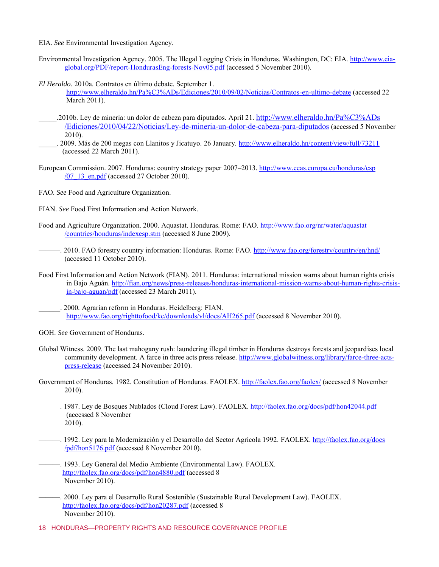- EIA. *See* Environmental Investigation Agency.
- Environmental Investigation Agency. 2005. The Illegal Logging Crisis in Honduras. Washington, DC: EIA. [http://www.eia](http://www.eia-global.org/PDF/report-HondurasEng-forests-Nov05.pdf)[global.org/PDF/report-HondurasEng-forests-Nov05.pdf \(](http://www.eia-global.org/PDF/report-HondurasEng-forests-Nov05.pdf)accessed 5 November 2010).
- *El Heraldo*. 2010a. Contratos en último debate. September 1.
	- <http://www.elheraldo.hn/Pa%C3%ADs/Ediciones/2010/09/02/Noticias/Contratos-en-ultimo-debate>(accessed 22 March 2011).
- \_\_\_\_\_.2010b. Ley de minería: un dolor de cabeza para diputados. April 21. [http://www.elheraldo.hn/Pa%C3%ADs](http://www.elheraldo.hn/Pa%C3%ADs/Ediciones/2010/04/22/Noticias/Ley-de-mineria-un-dolor-de-cabeza-para-diputados) [/Ediciones/2010/04/22/Noticias/Ley-de-mineria-un-dolor-de-cabeza-para-diputados](http://www.elheraldo.hn/Pa%C3%ADs/Ediciones/2010/04/22/Noticias/Ley-de-mineria-un-dolor-de-cabeza-para-diputados) (accessed 5 November 2010).
- \_\_\_\_\_. 2009. Más de 200 megas con Llanitos y Jicatuyo. 26 January.<http://www.elheraldo.hn/content/view/full/73211> (accessed 22 March 2011).
- European Commission. 2007. Honduras: country strategy paper 2007–2013[. http://www.eeas.europa.eu/honduras/csp](http://www.eeas.europa.eu/honduras/csp/07_13_en.pdf)  $/07$  13 en.pdf (accessed 27 October 2010).
- FAO. *See* Food and Agriculture Organization.
- FIAN. *See* Food First Information and Action Network.
- Food and Agriculture Organization. 2000. Aquastat. Honduras. Rome: FAO. [http://www.fao.org/nr/water/aquastat](http://www.fao.org/nr/water/aquastat/countries/honduras/indexesp.stm) [/countries/honduras/indexesp.stm](http://www.fao.org/nr/water/aquastat/countries/honduras/indexesp.stm) (accessed 8 June 2009).
- ———. 2010. FAO forestry country information: Honduras. Rome: FAO[. http://www.fao.org/forestry/country/en/hnd/](http://www.fao.org/forestry/country/en/hnd/)  (accessed 11 October 2010).
- Food First Information and Action Network (FIAN). 2011. Honduras: international mission warns about human rights crisis in Bajo Aguán. [http://fian.org/news/press-releases/honduras-international-mission-warns-about-human-rights-crisis](http://fian.org/news/press-releases/honduras-international-mission-warns-about-human-rights-crisis-in-bajo-aguan/pdf)[in-bajo-aguan/pdf](http://fian.org/news/press-releases/honduras-international-mission-warns-about-human-rights-crisis-in-bajo-aguan/pdf) (accessed 23 March 2011).
- \_\_\_\_\_\_. 2000*.* Agrarian reform in Honduras. Heidelberg: FIAN. <http://www.fao.org/righttofood/kc/downloads/vl/docs/AH265.pdf>(accessed 8 November 2010).
- GOH. *See* Government of Honduras.
- Global Witness. 2009. The last mahogany rush: laundering illegal timber in Honduras destroys forests and jeopardises local community development. A farce in three acts press release. [http://www.globalwitness.org/library/farce-three-acts](http://www.globalwitness.org/library/farce-three-acts-press-release)[press-release](http://www.globalwitness.org/library/farce-three-acts-press-release) (accessed 24 November 2010).
- Government of Honduras. 1982. Constitution of Honduras. FAOLEX. <http://faolex.fao.org/faolex/>(accessed 8 November 2010).
- ———. 1987. Ley de Bosques Nublados (Cloud Forest Law). FAOLEX.<http://faolex.fao.org/docs/pdf/hon42044.pdf> (accessed 8 November 2010).
- ——. 1992. Ley para la Modernización y el Desarrollo del Sector Agrícola 1992. FAOLEX. [http://faolex.fao.org/docs](http://faolex.fao.org/docs/pdf/hon5176.pdf) [/pdf/hon5176.pdf](http://faolex.fao.org/docs/pdf/hon5176.pdf) (accessed 8 November 2010).
- ———. 1993. Ley General del Medio Ambiente (Environmental Law). FAOLEX. <http://faolex.fao.org/docs/pdf/hon4880.pdf>(accessed 8 November 2010).
- ———. 2000. Ley para el Desarrollo Rural Sostenible (Sustainable Rural Development Law). FAOLEX. <http://faolex.fao.org/docs/pdf/hon20287.pdf>(accessed 8 November 2010).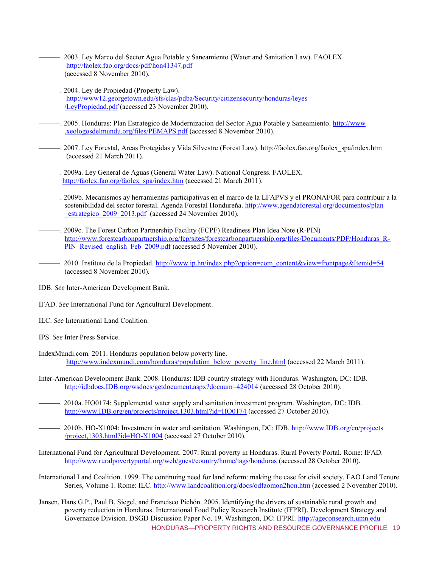- ———. 2003. Ley Marco del Sector Agua Potable y Saneamiento (Water and Sanitation Law). FAOLEX. <http://faolex.fao.org/docs/pdf/hon41347.pdf> (accessed 8 November 2010).
- 2004. Ley de Propiedad (Property Law). [http://www12.georgetown.edu/sfs/clas/pdba/Security/citizensecurity/honduras/leyes](http://www12.georgetown.edu/sfs/clas/pdba/Security/citizensecurity/honduras/leyes/LeyPropiedad.pdf) [/LeyPropiedad.pdf](http://www12.georgetown.edu/sfs/clas/pdba/Security/citizensecurity/honduras/leyes/LeyPropiedad.pdf) (accessed 23 November 2010).
- ——. 2005. Honduras: Plan Estrategico de Modernizacion del Sector Agua Potable y Saneamiento. [http://www](http://www.xeologosdelmundu.org/files/PEMAPS.pdf) [.xeologosdelmundu.org/files/PEMAPS.pdf](http://www.xeologosdelmundu.org/files/PEMAPS.pdf) (accessed 8 November 2010).
- ———. 2007. Ley Forestal, Areas Protegidas y Vida Silvestre (Forest Law). http://faolex.fao.org/faolex\_spa/index.htm (accessed 21 March 2011).
- -. 2009a. Ley General de Aguas (General Water Law). National Congress. FAOLEX. [http://faolex.fao.org/faolex\\_spa/index.htm](http://faolex.fao.org/faolex_spa/index.htm) (accessed 21 March 2011).
- ———. 2009b. Mecanismos ay herramientas participativas en el marco de la LFAPVS y el PRONAFOR para contribuir a la sostenibilidad del sector forestal. Agenda Forestal Hondureña. [http://www.agendaforestal.org/documentos/plan](http://www.agendaforestal.org/documentos/plan_estrategico_2009_2013.pdf) [\\_estrategico\\_2009\\_2013.pdf](http://www.agendaforestal.org/documentos/plan_estrategico_2009_2013.pdf) (accessed 24 November 2010).
- ———. 2009c. The Forest Carbon Partnership Facility (FCPF) Readiness Plan Idea Note (R-PIN) [http://www.forestcarbonpartnership.org/fcp/sites/forestcarbonpartnership.org/files/Documents/PDF/Honduras\\_R-](http://www.forestcarbonpartnership.org/fcp/sites/forestcarbonpartnership.org/files/Documents/PDF/Honduras_R-PIN_Revised_english_Feb_2009.pdf)[PIN\\_Revised\\_english\\_Feb\\_2009.pdf](http://www.forestcarbonpartnership.org/fcp/sites/forestcarbonpartnership.org/files/Documents/PDF/Honduras_R-PIN_Revised_english_Feb_2009.pdf) (accessed 5 November 2010).
- —. 2010. Instituto de la Propiedad. http://www.ip.hn/index.php?option=com\_content&view=frontpage&Itemid=54 (accessed 8 November 2010).
- IDB. *See* Inter-American Development Bank.
- IFAD. *See* International Fund for Agricultural Development.
- ILC. *See* International Land Coalition.
- IPS. *See* Inter Press Service.
- IndexMundi.com. 2011. Honduras population below poverty line. [http://www.indexmundi.com/honduras/population\\_below\\_poverty\\_line.html](http://www.indexmundi.com/honduras/population_below_poverty_line.html) (accessed 22 March 2011).
- Inter-American Development Bank. 2008. Honduras: IDB country strategy with Honduras. Washington, DC: IDB. [http://idbdocs.IDB.org/wsdocs/getdocument.aspx?docnum=424014 \(](http://idbdocs.iadb.org/wsdocs/getdocument.aspx?docnum=424014)accessed 28 October 2010).
- ———. 2010a. HO0174: Supplemental water supply and sanitation investment program. Washington, DC: IDB. [http://www.IDB.org/en/projects/project,1303.html?id=HO0174](http://www.iadb.org/en/projects/project,1303.html?id=HO0174) (accessed 27 October 2010).
- ———. 2010b. HO-X1004: Investment in water and sanitation. Washington, DC: IDB[. http://www.IDB.org/en/projects](http://www.iadb.org/en/projects/project,1303.html?id=HO-X1004) [/project,1303.html?id=HO-X1004](http://www.iadb.org/en/projects/project,1303.html?id=HO-X1004) (accessed 27 October 2010).
- International Fund for Agricultural Development. 2007. Rural poverty in Honduras. Rural Poverty Portal. Rome: IFAD. <http://www.ruralpovertyportal.org/web/guest/country/home/tags/honduras>(accessed 28 October 2010).
- International Land Coalition. 1999. The continuing need for land reform: making the case for civil society. FAO Land Tenure Series, Volume 1. Rome: ILC.<http://www.landcoalition.org/docs/odfaomon2hon.htm>(accessed 2 November 2010).
- HONDURAS—PROPERTY RIGHTS AND RESOURCE GOVERNANCE PROFILE 19 Jansen, Hans G.P., Paul B. Siegel, and Francisco Pichón. 2005. Identifying the drivers of sustainable rural growth and poverty reduction in Honduras. International Food Policy Research Institute (IFPRI). Development Strategy and Governance Division. DSGD Discussion Paper No. 19. Washington, DC: IFPRI. [http://ageconsearch.umn.edu](http://ageconsearch.umn.edu/bitstream/58378/2/dsgdp19.pdf)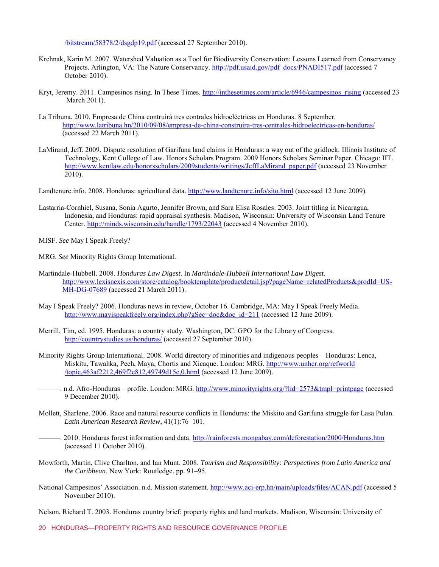/bitstream/58378/2/dsgdp19.pdf (accessed 27 September 2010).

- Krchnak, Karin M. 2007. Watershed Valuation as a Tool for Biodiversity Conservation: Lessons Learned from Conservancy Projects. Arlington, VA: The Nature Conservancy. [http://pdf.usaid.gov/pdf\\_docs/PNADI517.pdf](http://pdf.usaid.gov/pdf_docs/PNADI517.pdf) (accessed 7 October 2010).
- Kryt, Jeremy. 2011. Campesinos rising. In These Times. [http://inthesetimes.com/article/6946/campesinos\\_rising](http://inthesetimes.com/article/6946/campesinos_rising) (accessed 23 March 2011).
- La Tribuna. 2010. Empresa de China contruirá tres contrales hidroeléctricas en Honduras. 8 September. <http://www.latribuna.hn/2010/09/08/empresa-de-china-construira-tres-centrales-hidroelectricas-en-honduras/> (accessed 22 March 2011).
- LaMirand, Jeff. 2009. Dispute resolution of Garifuna land claims in Honduras: a way out of the gridlock. Illinois Institute of Technology, Kent College of Law. Honors Scholars Program. 2009 Honors Scholars Seminar Paper. Chicago: IIT. [http://www.kentlaw.edu/honorsscholars/2009students/writings/JeffLaMirand\\_paper.pdf \(](http://www.kentlaw.edu/honorsscholars/2009students/writings/JeffLaMirand_paper.pdf)accessed 23 November 2010).
- Landtenure.info. 2008. Honduras: agricultural data. [http://www.landtenure.info/sito.html \(](http://www.landtenure.info/sito.html)accessed 12 June 2009).
- Lastarria-Cornhiel, Susana, Sonia Agurto, Jennifer Brown, and Sara Elisa Rosales. 2003. Joint titling in Nicaragua, Indonesia, and Honduras: rapid appraisal synthesis. Madison, Wisconsin: University of Wisconsin Land Tenure Center[. http://minds.wisconsin.edu/handle/1793/22043](http://minds.wisconsin.edu/handle/1793/22043) (accessed 4 November 2010).
- MISF. *See* May I Speak Freely?
- MRG. *See* Minority Rights Group International.
- Martindale-Hubbell. 2008. *Honduras Law Digest*. In *Martindale-Hubbell International Law Digest*. [http://www.lexisnexis.com/store/catalog/booktemplate/productdetail.jsp?pageName=relatedProducts&prodId=US-](http://www.lexisnexis.com/store/catalog/booktemplate/productdetail.jsp?pageName=relatedProducts&prodId=US-MH-DG-07689)[MH-DG-07689](http://www.lexisnexis.com/store/catalog/booktemplate/productdetail.jsp?pageName=relatedProducts&prodId=US-MH-DG-07689) (accessed 21 March 2011).
- May I Speak Freely? 2006. Honduras news in review, October 16. Cambridge, MA: May I Speak Freely Media. [http://www.mayispeakfreely.org/index.php?gSec=doc&doc\\_id=211](http://www.mayispeakfreely.org/index.php?gSec=doc&doc_id=211) (accessed 12 June 2009).
- Merrill, Tim, ed. 1995. Honduras: a country study. Washington, DC: GPO for the Library of Congress. <http://countrystudies.us/honduras/>(accessed 27 September 2010).
- Minority Rights Group International. 2008. World directory of minorities and indigenous peoples Honduras: Lenca, Miskitu, Tawahka, Pech, Maya, Chortis and Xicaque. London: MRG. [http://www.unhcr.org/refworld](http://www.unhcr.org/refworld/topic,463af2212,469f2e812,49749d15c,0.html) [/topic,463af2212,469f2e812,49749d15c,0.html](http://www.unhcr.org/refworld/topic,463af2212,469f2e812,49749d15c,0.html) (accessed 12 June 2009).
	- —. n.d. Afro-Honduras profile. London: MRG. [http://www.minorityrights.org/?lid=2573&tmpl=printpage \(](http://www.minorityrights.org/?lid=2573&tmpl=printpage)accessed 9 December 2010).
- Mollett, Sharlene. 2006. Race and natural resource conflicts in Honduras: the Miskito and Garifuna struggle for Lasa Pulan. *Latin American Research Review*, 41(1):76–101.
- ——. 2010. Honduras forest information and data. http://rainforests.mongabay.com/deforestation/2000/Honduras.htm (accessed 11 October 2010).
- Mowforth, Martin, Clive Charlton, and Ian Munt. 2008. *Tourism and Responsibility: Perspectives from Latin America and the Caribbean*. New York: Routledge. pp. 91–95.
- National Campesinos' Association. n.d. Mission statement.<http://www.aci-erp.hn/main/uploads/files/ACAN.pdf>(accessed 5 November 2010).

Nelson, Richard T. 2003. Honduras country brief: property rights and land markets. Madison, Wisconsin: University of

20 HONDURAS—PROPERTY RIGHTS AND RESOURCE GOVERNANCE PROFILE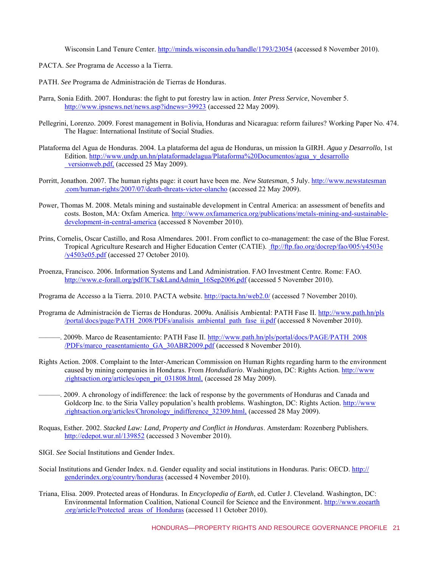Wisconsin Land Tenure Center.<http://minds.wisconsin.edu/handle/1793/23054>(accessed 8 November 2010).

- PACTA. *See* Programa de Accesso a la Tierra.
- PATH. *See* Programa de Administración de Tierras de Honduras.
- Parra, Sonia Edith. 2007. Honduras: the fight to put forestry law in action. *Inter Press Service*, November 5. <http://www.ipsnews.net/news.asp?idnews=39923>(accessed 22 May 2009).
- Pellegrini, Lorenzo. 2009. Forest management in Bolivia, Honduras and Nicaragua: reform failures? Working Paper No. 474. The Hague: International Institute of Social Studies.
- Plataforma del Agua de Honduras. 2004. La plataforma del agua de Honduras, un mission la GIRH. *Agua y Desarrollo*, 1st Edition. [http://www.undp.un.hn/plataformadelagua/Plataforma%20Documentos/agua\\_y\\_desarrollo](http://www.undp.un.hn/plataformadelagua/Plataforma%20Documentos/agua_y_desarrollo_versionweb.pdf) [\\_versionweb.pdf, \(](http://www.undp.un.hn/plataformadelagua/Plataforma%20Documentos/agua_y_desarrollo_versionweb.pdf)accessed 25 May 2009).
- Porritt, Jonathon. 2007. The human rights page: it court have been me. *New Statesman*, 5 July[. http://www.newstatesman](http://www.newstatesman.com/human-rights/2007/07/death-threats-victor-olancho) [.com/human-rights/2007/07/death-threats-victor-olancho \(](http://www.newstatesman.com/human-rights/2007/07/death-threats-victor-olancho)accessed 22 May 2009).
- Power, Thomas M. 2008. Metals mining and sustainable development in Central America: an assessment of benefits and costs. Boston, MA: Oxfam America. [http://www.oxfamamerica.org/publications/metals-mining-and-sustainable](http://www.oxfamamerica.org/publications/metals-mining-and-sustainable-development-in-central-america)[development-in-central-america \(](http://www.oxfamamerica.org/publications/metals-mining-and-sustainable-development-in-central-america)accessed 8 November 2010).
- Prins, Cornelis, Oscar Castillo, and Rosa Almendares. 2001. From conflict to co-management: the case of the Blue Forest. Tropical Agriculture Research and Higher Education Center (CATIE)[. ftp://ftp.fao.org/docrep/fao/005/y4503e](ftp://ftp.fao.org/docrep/fao/005/y4503e/y4503e05.pdf) [/y4503e05.pdf](ftp://ftp.fao.org/docrep/fao/005/y4503e/y4503e05.pdf) (accessed 27 October 2010).
- Proenza, Francisco. 2006. Information Systems and Land Administration. FAO Investment Centre. Rome: FAO. [http://www.e-forall.org/pdf/ICTs&LandAdmin\\_16Sep2006.pdf](http://www.e-forall.org/pdf/ICTs&LandAdmin_16Sep2006.pdf) (accessed 5 November 2010).

Programa de Accesso a la Tierra. 2010. PACTA website. [http://pacta.hn/web2.0/ \(](http://pacta.hn/web2.0/)accessed 7 November 2010).

- Programa de Administración de Tierras de Honduras. 2009a. Análisis Ambiental: PATH Fase II.<http://www.path.hn/pls> [/portal/docs/page/PATH\\_2008/PDFs/analisis\\_ambiental\\_path\\_fase\\_ii.pdf](http://www.path.hn/pls) (accessed 8 November 2010).
	- —. 2009b. Marco de Reasentamiento: PATH Fase II. [http://www.path.hn/pls/portal/docs/PAGE/PATH\\_2008](http://www.path.hn/pls/portal/docs/PAGE/PATH_2008/PDFs/marco_reasentamiento_GA_30ABR2009.pdf) [/PDFs/marco\\_reasentamiento\\_GA\\_30ABR2009.pdf](http://www.path.hn/pls/portal/docs/PAGE/PATH_2008/PDFs/marco_reasentamiento_GA_30ABR2009.pdf) (accessed 8 November 2010).
- Rights Action. 2008. Complaint to the Inter-American Commission on Human Rights regarding harm to the environment caused by mining companies in Honduras. From *Hondudiario*. Washington, DC: Rights Action[. http://www](http://www.rightsaction.org/articles/open_pit_031808.html) [.rightsaction.org/articles/open\\_pit\\_031808.html, \(](http://www.rightsaction.org/articles/open_pit_031808.html)accessed 28 May 2009).
	- ———. 2009. A chronology of indifference: the lack of response by the governments of Honduras and Canada and Goldcorp Inc. to the Siria Valley population's health problems. Washington, DC: Rights Action. [http://www](http://www.rightsaction.org/articles/Chronology_indifference_32309.html). [.rightsaction.org/articles/Chronology\\_indifference\\_32309.html, \(](http://www.rightsaction.org/articles/Chronology_indifference_32309.html)accessed 28 May 2009).
- Roquas, Esther. 2002. *Stacked Law: Land, Property and Conflict in Honduras*. Amsterdam: Rozenberg Publishers. <http://edepot.wur.nl/139852>(accessed 3 November 2010).
- SIGI. *See* Social Institutions and Gender Index.
- Social Institutions and Gender Index. n.d. Gender equality and social institutions in Honduras. Paris: OECD. [http://](http://genderindex.org/country/honduras) [genderindex.org/country/honduras](http://genderindex.org/country/honduras) (accessed 4 November 2010).
- Triana, Elisa. 2009. Protected areas of Honduras. In *Encyclopedia of Earth*, ed. Cutler J. Cleveland. Washington, DC: Environmental Information Coalition, National Council for Science and the Environment. [http://www.eoearth](http://www.eoearth.org/article/Protected_areas_of_Honduras) [.org/article/Protected\\_areas\\_of\\_Honduras](http://www.eoearth.org/article/Protected_areas_of_Honduras) (accessed 11 October 2010).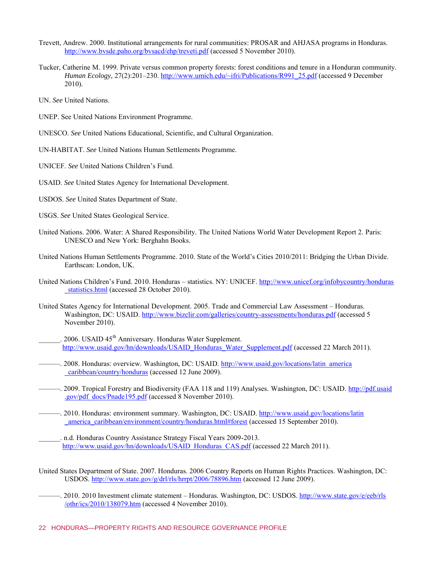- Trevett, Andrew. 2000. Institutional arrangements for rural communities: PROSAR and AHJASA programs in Honduras. <http://www.bvsde.paho.org/bvsacd/ehp/treveti.pdf>(accessed 5 November 2010).
- Tucker, Catherine M. 1999. Private versus common property forests: forest conditions and tenure in a Honduran community. *Human Ecology,* 27(2):201–230. [http://www.umich.edu/~ifri/Publications/R991\\_25.pdf](http://www.umich.edu/~ifri/Publications/R991_25.pdf) (accessed 9 December 2010).
- UN. *See* United Nations.
- UNEP. See United Nations Environment Programme.
- UNESCO. *See* United Nations Educational, Scientific, and Cultural Organization.
- UN-HABITAT. *See* United Nations Human Settlements Programme.
- UNICEF. *See* United Nations Children's Fund.
- USAID. *See* United States Agency for International Development.
- USDOS. *See* United States Department of State.
- USGS. *See* United States Geological Service.
- United Nations. 2006. Water: A Shared Responsibility. The United Nations World Water Development Report 2. Paris: UNESCO and New York: Berghahn Books.
- United Nations Human Settlements Programme. 2010. State of the World's Cities 2010/2011: Bridging the Urban Divide. Earthscan: London, UK.
- United Nations Children's Fund. 2010. Honduras statistics. NY: UNICEF. [http://www.unicef.org/infobycountry/honduras](http://www.unicef.org/infobycountry/honduras_statistics.html) statistics.html (accessed 28 October 2010).
- United States Agency for International Development. 2005. Trade and Commercial Law Assessment Honduras. Washington, DC: USAID. [http://www.bizclir.com/galleries/country-assessments/honduras.pdf \(](http://www.bizclir.com/galleries/country-assessments/honduras.pdf)accessed 5 November 2010).
	- 2006. USAID 45<sup>th</sup> Anniversary. Honduras Water Supplement. [http://www.usaid.gov/hn/downloads/USAID\\_Honduras\\_Water\\_Supplement.pdf](http://www.usaid.gov/hn/downloads/USAID_Honduras_Water_Supplement.pdf) (accessed 22 March 2011).
- ——. 2008. Honduras: overview. Washington, DC: USAID. [http://www.usaid.gov/locations/latin\\_america](http://www.usaid.gov/locations/latin_america_caribbean/country/honduras) [\\_caribbean/country/honduras](http://www.usaid.gov/locations/latin_america_caribbean/country/honduras) (accessed 12 June 2009).
- ———. 2009. Tropical Forestry and Biodiversity (FAA 118 and 119) Analyses. Washington, DC: USAID. [http://pdf.usaid](http://pdf.usaid.gov/pdf_docs/Pnade195.pdf) [.gov/pdf\\_docs/Pnade195.pdf](http://pdf.usaid.gov/pdf_docs/Pnade195.pdf) (accessed 8 November 2010).
- ----. 2010. Honduras: environment summary. Washington, DC: USAID. [http://www.usaid.gov/locations/latin](http://www.usaid.gov/locations/latin_america_caribbean/environment/country/honduras.html#forest) [\\_america\\_caribbean/environment/country/honduras.html#forest](http://www.usaid.gov/locations/latin_america_caribbean/environment/country/honduras.html#forest) (accessed 15 September 2010).
	- n.d. Honduras Country Assistance Strategy Fiscal Years 2009-2013. [http://www.usaid.gov/hn/downloads/USAID\\_Honduras\\_CAS.pdf](http://www.usaid.gov/hn/downloads/USAID_Honduras_CAS.pdf) (accessed 22 March 2011).
- United States Department of State. 2007. Honduras. 2006 Country Reports on Human Rights Practices. Washington, DC: USDOS.<http://www.state.gov/g/drl/rls/hrrpt/2006/78896.htm>(accessed 12 June 2009).
- ———. 2010. 2010 Investment climate statement Honduras. Washington, DC: USDOS. [http://www.state.gov/e/eeb/rls](http://www.state.gov/e/eeb/rls/othr/ics/2010/138079.htm) [/othr/ics/2010/138079.htm \(](http://www.state.gov/e/eeb/rls/othr/ics/2010/138079.htm)accessed 4 November 2010).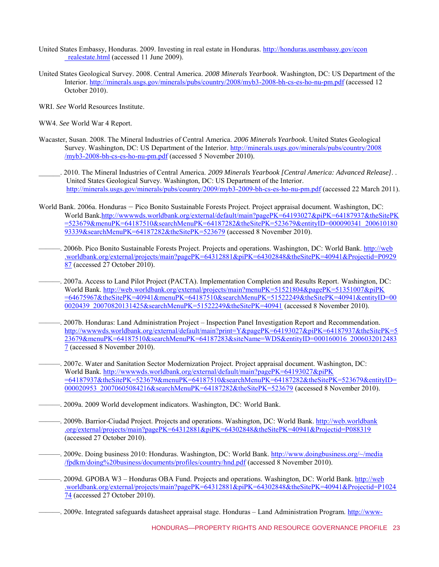- United States Embassy, Honduras. 2009. Investing in real estate in Honduras. [http://honduras.usembassy.gov/econ](http://honduras.usembassy.gov/econ_realestate.html) [\\_realestate.html](http://honduras.usembassy.gov/econ_realestate.html) (accessed 11 June 2009).
- United States Geological Survey. 2008. Central America. *2008 Minerals Yearbook*. Washington, DC: US Department of the Interior.<http://minerals.usgs.gov/minerals/pubs/country/2008/myb3-2008-bh-cs-es-ho-nu-pm.pdf>(accessed 12 October 2010).
- WRI. *See* World Resources Institute.
- WW4. *See* World War 4 Report.
- Wacaster, Susan. 2008. The Mineral Industries of Central America. *2006 Minerals Yearbook*. United States Geological Survey. Washington, DC: US Department of the Interior. [http://minerals.usgs.gov/minerals/pubs/country/2008](http://minerals.usgs.gov/minerals/pubs/country/2008/myb3-2008-bh-cs-es-ho-nu-pm.pdf) [/myb3-2008-bh-cs-es-ho-nu-pm.pdf](http://minerals.usgs.gov/minerals/pubs/country/2008/myb3-2008-bh-cs-es-ho-nu-pm.pdf) (accessed 5 November 2010).
	- \_\_\_\_\_\_. 2010. The Mineral Industries of Central America. *2009 Minerals Yearbook [Central America: Advanced Release]*. . United States Geological Survey. Washington, DC: US Department of the Interior. <http://minerals.usgs.gov/minerals/pubs/country/2009/myb3-2009-bh-cs-es-ho-nu-pm.pdf>(accessed 22 March 2011).
- World Bank. 2006a. Honduras Pico Bonito Sustainable Forests Project. Project appraisal document. Washington, DC: World Ban[k.http://wwwwds.worldbank.org/external/default/main?pagePK=64193027&piPK=64187937&theSitePK](http://www-wds.worldbank.org/external/default/main?pagePK=64193027&piPK=64187937&theSitePK=523679&menuPK=64187510&searchMenuPK=64187282&theSitePK=523679&entityID=000090341_20061018093339&searchMenuPK=64187282&theSitePK=523679) [=523679&menuPK=64187510&searchMenuPK=64187282&theSitePK=523679&entityID=000090341\\_200610180](http://www-wds.worldbank.org/external/default/main?pagePK=64193027&piPK=64187937&theSitePK=523679&menuPK=64187510&searchMenuPK=64187282&theSitePK=523679&entityID=000090341_20061018093339&searchMenuPK=64187282&theSitePK=523679) [93339&searchMenuPK=64187282&theSitePK=523679](http://www-wds.worldbank.org/external/default/main?pagePK=64193027&piPK=64187937&theSitePK=523679&menuPK=64187510&searchMenuPK=64187282&theSitePK=523679&entityID=000090341_20061018093339&searchMenuPK=64187282&theSitePK=523679) (accessed 8 November 2010).
- ———. 2006b. Pico Bonito Sustainable Forests Project. Projects and operations. Washington, DC: World Bank. [http://web](http://web.worldbank.org/external/projects/main?pagePK=64312881&piPK=64302848&theSitePK=40941&Projectid=P092987) [.worldbank.org/external/projects/main?pagePK=64312881&piPK=64302848&theSitePK=40941&Projectid=P0929](http://web.worldbank.org/external/projects/main?pagePK=64312881&piPK=64302848&theSitePK=40941&Projectid=P092987) [87](http://web.worldbank.org/external/projects/main?pagePK=64312881&piPK=64302848&theSitePK=40941&Projectid=P092987) (accessed 27 October 2010).
- ———. 2007a. Access to Land Pilot Project (PACTA). Implementation Completion and Results Report. Washington, DC: World Bank. [http://web.worldbank.org/external/projects/main?menuPK=51521804&pagePK=51351007&piPK](http://web.worldbank.org/external/projects/main?menuPK=51521804&pagePK=51351007&piPK=64675967&theSitePK=40941&menuPK=64187510&searchMenuPK=51522249&theSitePK=40941&entityID=000020439_20070820131425&searchMenuPK=51522249&theSitePK=40941) [=64675967&theSitePK=40941&menuPK=64187510&searchMenuPK=51522249&theSitePK=40941&entityID=00](http://web.worldbank.org/external/projects/main?menuPK=51521804&pagePK=51351007&piPK=64675967&theSitePK=40941&menuPK=64187510&searchMenuPK=51522249&theSitePK=40941&entityID=000020439_20070820131425&searchMenuPK=51522249&theSitePK=40941) [0020439\\_20070820131425&searchMenuPK=51522249&theSitePK=40941](http://web.worldbank.org/external/projects/main?menuPK=51521804&pagePK=51351007&piPK=64675967&theSitePK=40941&menuPK=64187510&searchMenuPK=51522249&theSitePK=40941&entityID=000020439_20070820131425&searchMenuPK=51522249&theSitePK=40941) (accessed 8 November 2010).
- ———. 2007b. Honduras: Land Administration Project Inspection Panel Investigation Report and Recommendation. [http://wwwwds.worldbank.org/external/default/main?print=Y&pagePK=64193027&piPK=64187937&theSitePK=5](http://wwwwds.worldbank.org/external/default/main?print=Y&pagePK=64193027&piPK=64187937&theSitePK=523679&menuPK=64187510&searchMenuPK=64187283&siteName=WDS&entityID=000160016_20060320124837) [23679&menuPK=64187510&searchMenuPK=64187283&siteName=WDS&entityID=000160016\\_2006032012483](http://wwwwds.worldbank.org/external/default/main?print=Y&pagePK=64193027&piPK=64187937&theSitePK=523679&menuPK=64187510&searchMenuPK=64187283&siteName=WDS&entityID=000160016_20060320124837) [7](http://wwwwds.worldbank.org/external/default/main?print=Y&pagePK=64193027&piPK=64187937&theSitePK=523679&menuPK=64187510&searchMenuPK=64187283&siteName=WDS&entityID=000160016_20060320124837) (accessed 8 November 2010).
- ———. 2007c. Water and Sanitation Sector Modernization Project. Project appraisal document. Washington, DC: World Bank. [http://wwwwds.worldbank.org/external/default/main?pagePK=64193027&piPK](http://www-wds.worldbank.org/external/default/main?pagePK=64193027&piPK=64187937&theSitePK=523679&menuPK=64187510&searchMenuPK=64187282&theSitePK=523679&entityID=000020953_20070605084216&searchMenuPK=64187282&theSitePK=523679) [=64187937&theSitePK=523679&menuPK=64187510&searchMenuPK=64187282&theSitePK=523679&entityID=](http://www-wds.worldbank.org/external/default/main?pagePK=64193027&piPK=64187937&theSitePK=523679&menuPK=64187510&searchMenuPK=64187282&theSitePK=523679&entityID=000020953_20070605084216&searchMenuPK=64187282&theSitePK=523679) [000020953\\_20070605084216&searchMenuPK=64187282&theSitePK=523679](http://www-wds.worldbank.org/external/default/main?pagePK=64193027&piPK=64187937&theSitePK=523679&menuPK=64187510&searchMenuPK=64187282&theSitePK=523679&entityID=000020953_20070605084216&searchMenuPK=64187282&theSitePK=523679) (accessed 8 November 2010).
- ———. 2009a. 2009 World development indicators. Washington, DC: World Bank.
- ———. 2009b. Barrior-Ciudad Project. Projects and operations. Washington, DC: World Bank. [http://web.worldbank](http://web.worldbank.org/external/projects/main?pagePK=64312881&piPK=64302848&theSitePK=40941&Projectid=P088319) [.org/external/projects/main?pagePK=64312881&piPK=64302848&theSitePK=40941&Projectid=P088319](http://web.worldbank.org/external/projects/main?pagePK=64312881&piPK=64302848&theSitePK=40941&Projectid=P088319) (accessed 27 October 2010).
	- ———. 2009c. Doing business 2010: Honduras. Washington, DC: World Bank. [http://www.doingbusiness.org/~/media](http://www.doingbusiness.org/~/media/fpdkm/doing%20business/documents/profiles/country/hnd.pdf) [/fpdkm/doing%20business/documents/profiles/country/hnd.pdf](http://www.doingbusiness.org/~/media/fpdkm/doing%20business/documents/profiles/country/hnd.pdf) (accessed 8 November 2010).
	- ———. 2009d. GPOBA W3 Honduras OBA Fund. Projects and operations. Washington, DC: World Bank. [http://web](http://web.worldbank.org/external/projects/main?pagePK=64312881&piPK=64302848&theSitePK=40941&Projectid=P102474) [.worldbank.org/external/projects/main?pagePK=64312881&piPK=64302848&theSitePK=40941&Projectid=P1024](http://web.worldbank.org/external/projects/main?pagePK=64312881&piPK=64302848&theSitePK=40941&Projectid=P102474) [74](http://web.worldbank.org/external/projects/main?pagePK=64312881&piPK=64302848&theSitePK=40941&Projectid=P102474) (accessed 27 October 2010).
	- -. 2009e. Integrated safeguards datasheet appraisal stage. Honduras Land Administration Program. [http://www-](http://www-wds.worldbank.org/external/default/WDSContentServer/WDSP/IB/2009/06/19/000104615_20090619151103/Rendered/PDF/Integrated0Saf1et010Appraisal0Stage.pdf)